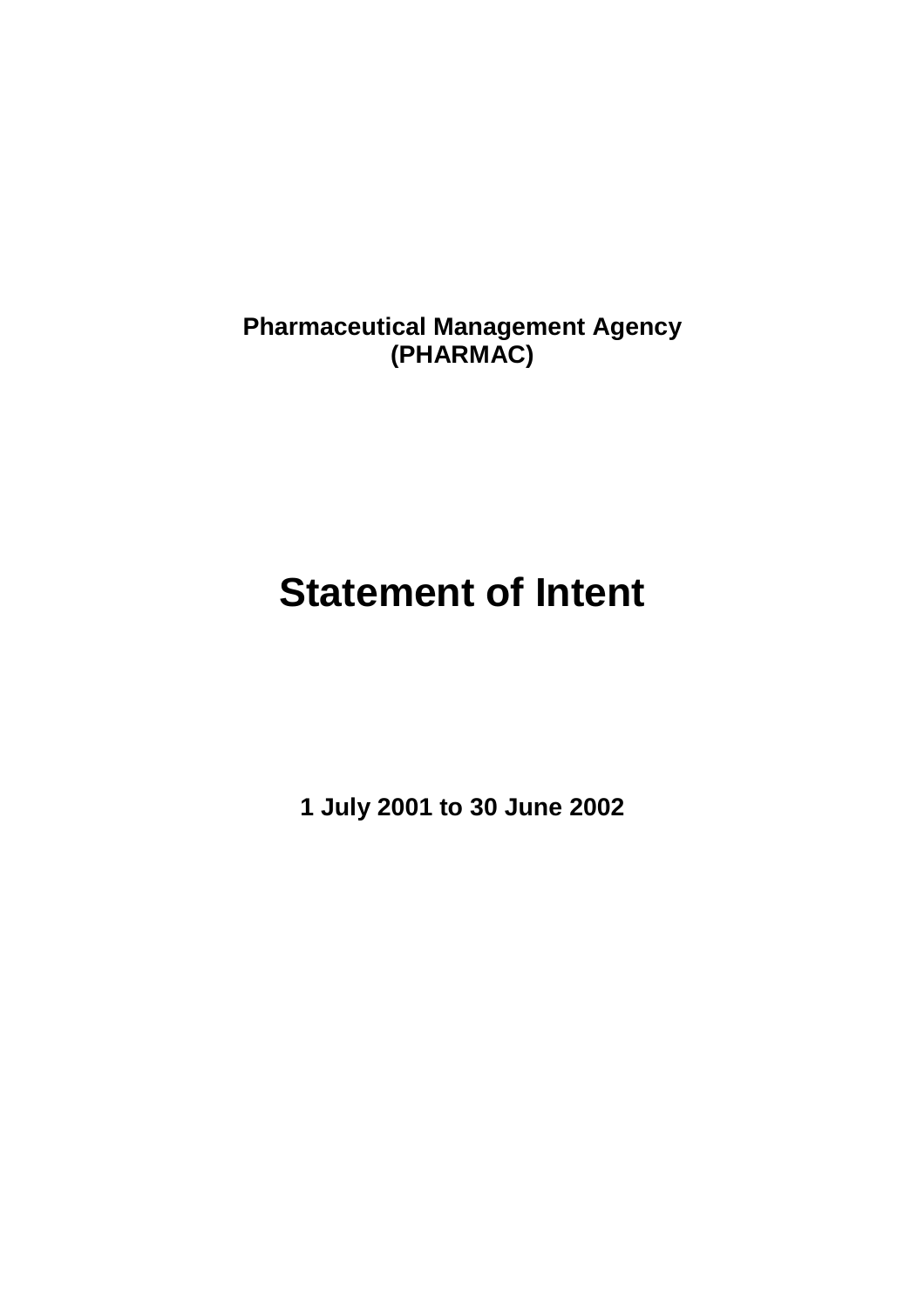**Pharmaceutical Management Agency (PHARMAC)** 

# **Statement of Intent**

**1 July 2001 to 30 June 2002**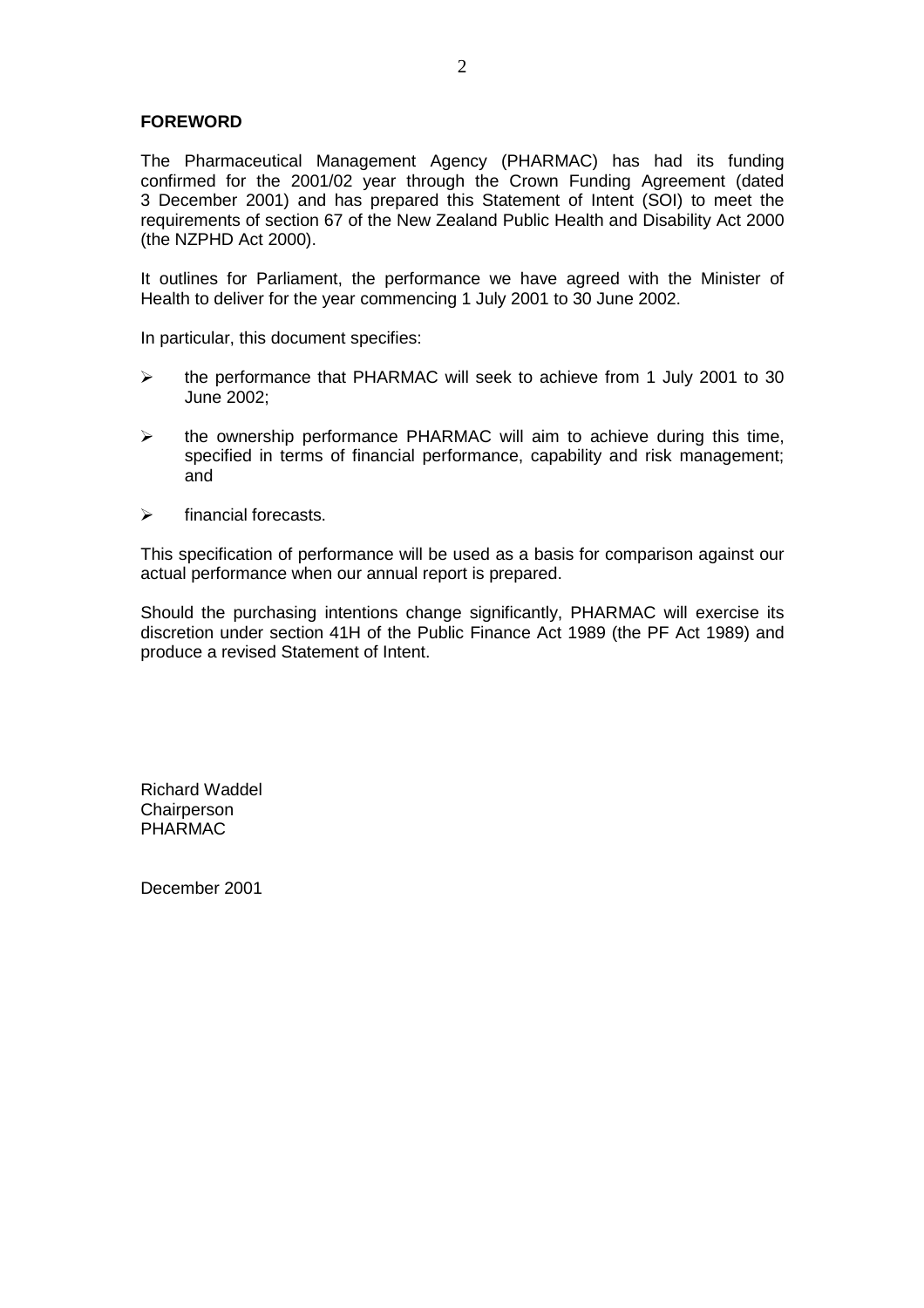# **FOREWORD**

The Pharmaceutical Management Agency (PHARMAC) has had its funding confirmed for the 2001/02 year through the Crown Funding Agreement (dated 3 December 2001) and has prepared this Statement of Intent (SOI) to meet the requirements of section 67 of the New Zealand Public Health and Disability Act 2000 (the NZPHD Act 2000).

It outlines for Parliament, the performance we have agreed with the Minister of Health to deliver for the year commencing 1 July 2001 to 30 June 2002.

In particular, this document specifies:

- the performance that PHARMAC will seek to achieve from 1 July 2001 to 30 June 2002;
- $\triangleright$  the ownership performance PHARMAC will aim to achieve during this time, specified in terms of financial performance, capability and risk management; and
- $\triangleright$  financial forecasts.

This specification of performance will be used as a basis for comparison against our actual performance when our annual report is prepared.

Should the purchasing intentions change significantly, PHARMAC will exercise its discretion under section 41H of the Public Finance Act 1989 (the PF Act 1989) and produce a revised Statement of Intent.

Richard Waddel **Chairperson** PHARMAC

December 2001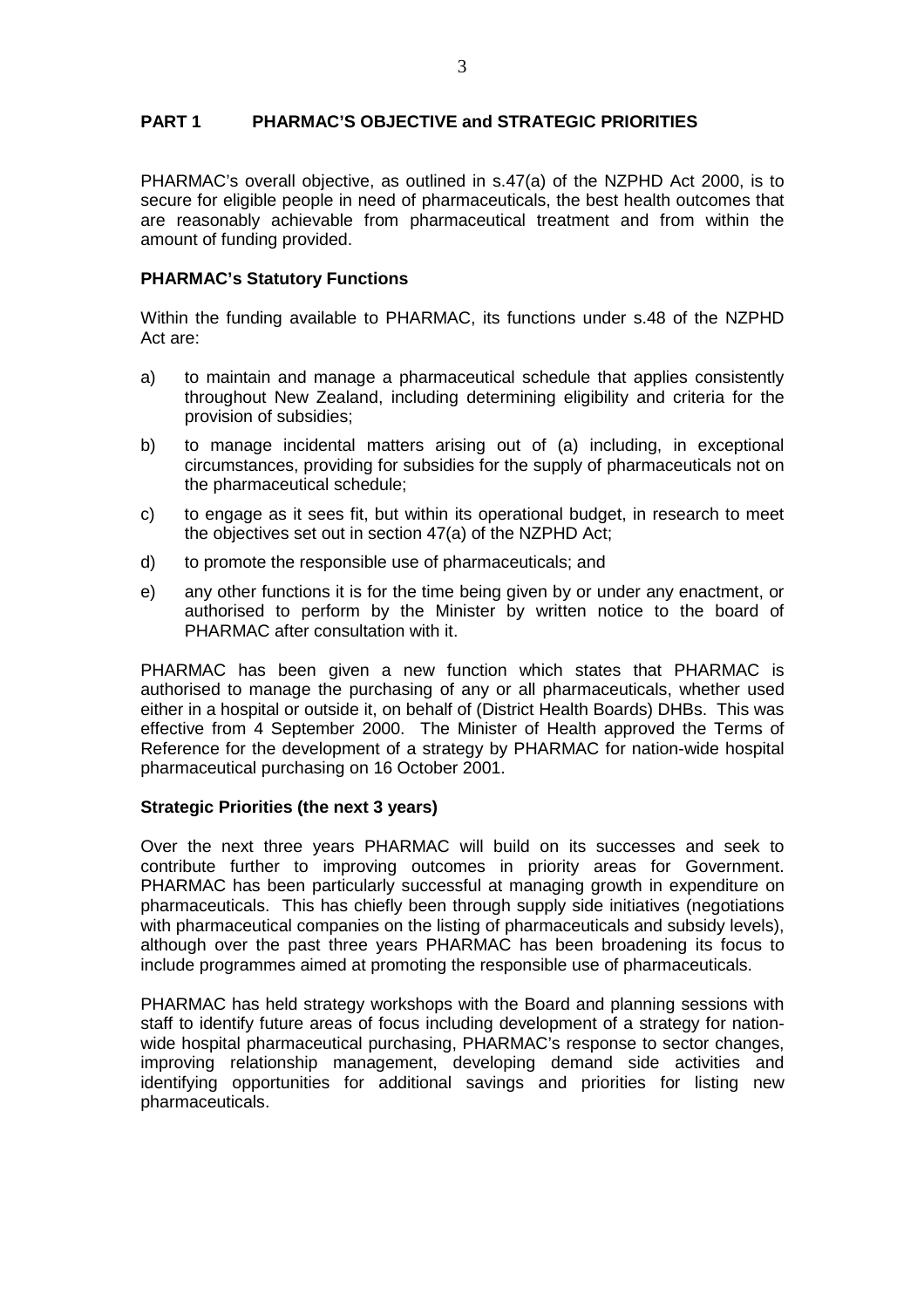# **PART 1 PHARMAC'S OBJECTIVE and STRATEGIC PRIORITIES**

PHARMAC's overall objective, as outlined in s.47(a) of the NZPHD Act 2000, is to secure for eligible people in need of pharmaceuticals, the best health outcomes that are reasonably achievable from pharmaceutical treatment and from within the amount of funding provided.

### **PHARMAC's Statutory Functions**

Within the funding available to PHARMAC, its functions under s.48 of the NZPHD Act are:

- a) to maintain and manage a pharmaceutical schedule that applies consistently throughout New Zealand, including determining eligibility and criteria for the provision of subsidies;
- b) to manage incidental matters arising out of (a) including, in exceptional circumstances, providing for subsidies for the supply of pharmaceuticals not on the pharmaceutical schedule;
- c) to engage as it sees fit, but within its operational budget, in research to meet the objectives set out in section 47(a) of the NZPHD Act;
- d) to promote the responsible use of pharmaceuticals; and
- e) any other functions it is for the time being given by or under any enactment, or authorised to perform by the Minister by written notice to the board of PHARMAC after consultation with it.

PHARMAC has been given a new function which states that PHARMAC is authorised to manage the purchasing of any or all pharmaceuticals, whether used either in a hospital or outside it, on behalf of (District Health Boards) DHBs. This was effective from 4 September 2000. The Minister of Health approved the Terms of Reference for the development of a strategy by PHARMAC for nation-wide hospital pharmaceutical purchasing on 16 October 2001.

#### **Strategic Priorities (the next 3 years)**

Over the next three years PHARMAC will build on its successes and seek to contribute further to improving outcomes in priority areas for Government. PHARMAC has been particularly successful at managing growth in expenditure on pharmaceuticals. This has chiefly been through supply side initiatives (negotiations with pharmaceutical companies on the listing of pharmaceuticals and subsidy levels), although over the past three years PHARMAC has been broadening its focus to include programmes aimed at promoting the responsible use of pharmaceuticals.

PHARMAC has held strategy workshops with the Board and planning sessions with staff to identify future areas of focus including development of a strategy for nationwide hospital pharmaceutical purchasing, PHARMAC's response to sector changes, improving relationship management, developing demand side activities and identifying opportunities for additional savings and priorities for listing new pharmaceuticals.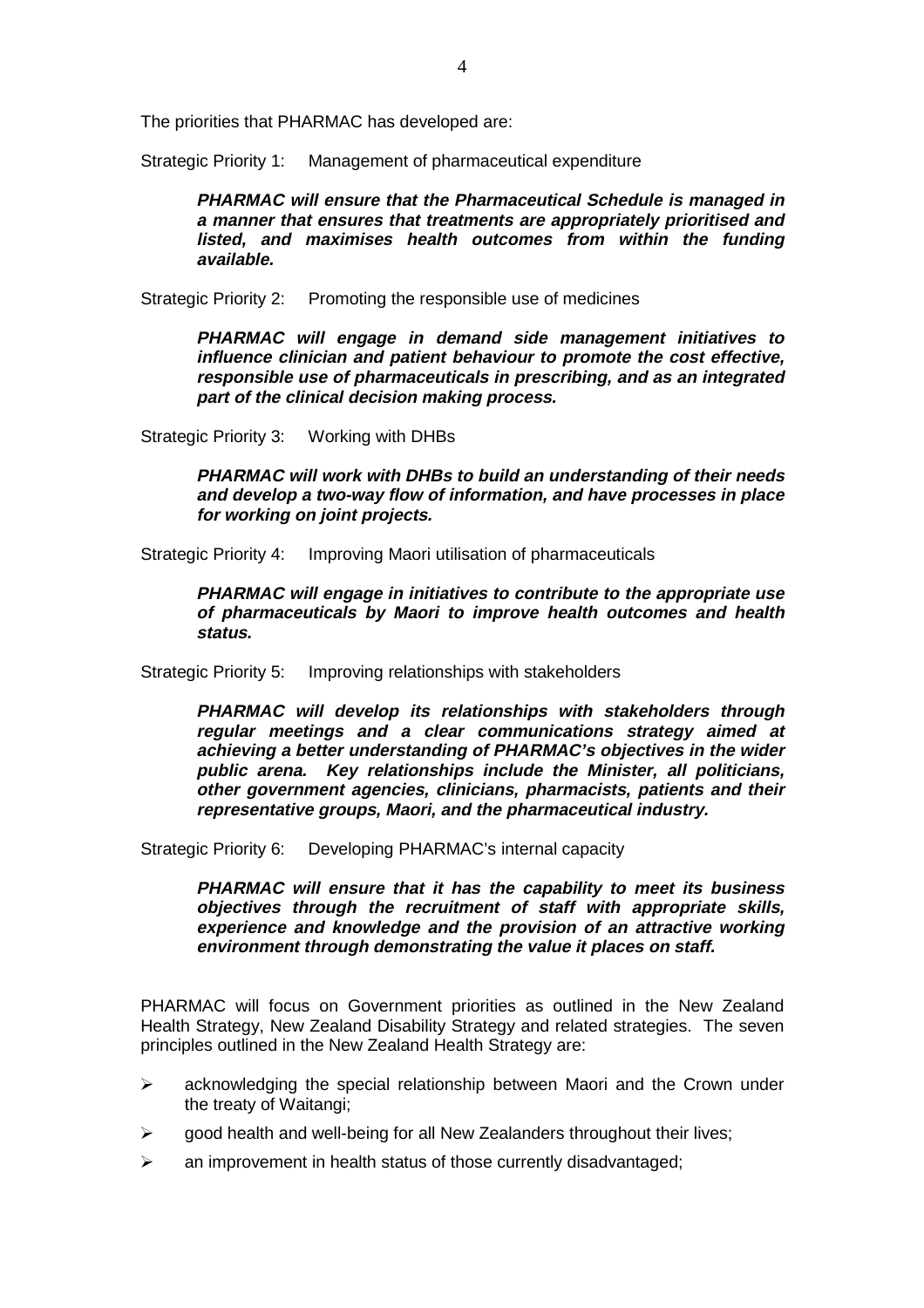The priorities that PHARMAC has developed are:

Strategic Priority 1: Management of pharmaceutical expenditure

**PHARMAC will ensure that the Pharmaceutical Schedule is managed in a manner that ensures that treatments are appropriately prioritised and listed, and maximises health outcomes from within the funding available.** 

Strategic Priority 2: Promoting the responsible use of medicines

**PHARMAC will engage in demand side management initiatives to influence clinician and patient behaviour to promote the cost effective, responsible use of pharmaceuticals in prescribing, and as an integrated part of the clinical decision making process.** 

Strategic Priority 3: Working with DHBs

**PHARMAC will work with DHBs to build an understanding of their needs and develop a two-way flow of information, and have processes in place for working on joint projects.** 

Strategic Priority 4: Improving Maori utilisation of pharmaceuticals

**PHARMAC will engage in initiatives to contribute to the appropriate use of pharmaceuticals by Maori to improve health outcomes and health status.** 

Strategic Priority 5: Improving relationships with stakeholders

**PHARMAC will develop its relationships with stakeholders through regular meetings and a clear communications strategy aimed at achieving a better understanding of PHARMAC's objectives in the wider public arena. Key relationships include the Minister, all politicians, other government agencies, clinicians, pharmacists, patients and their representative groups, Maori, and the pharmaceutical industry.** 

Strategic Priority 6: Developing PHARMAC's internal capacity

**PHARMAC will ensure that it has the capability to meet its business objectives through the recruitment of staff with appropriate skills, experience and knowledge and the provision of an attractive working environment through demonstrating the value it places on staff.** 

PHARMAC will focus on Government priorities as outlined in the New Zealand Health Strategy, New Zealand Disability Strategy and related strategies. The seven principles outlined in the New Zealand Health Strategy are:

- $\geq$  acknowledging the special relationship between Maori and the Crown under the treaty of Waitangi;
- $\triangleright$  good health and well-being for all New Zealanders throughout their lives;
- $\triangleright$  an improvement in health status of those currently disadvantaged;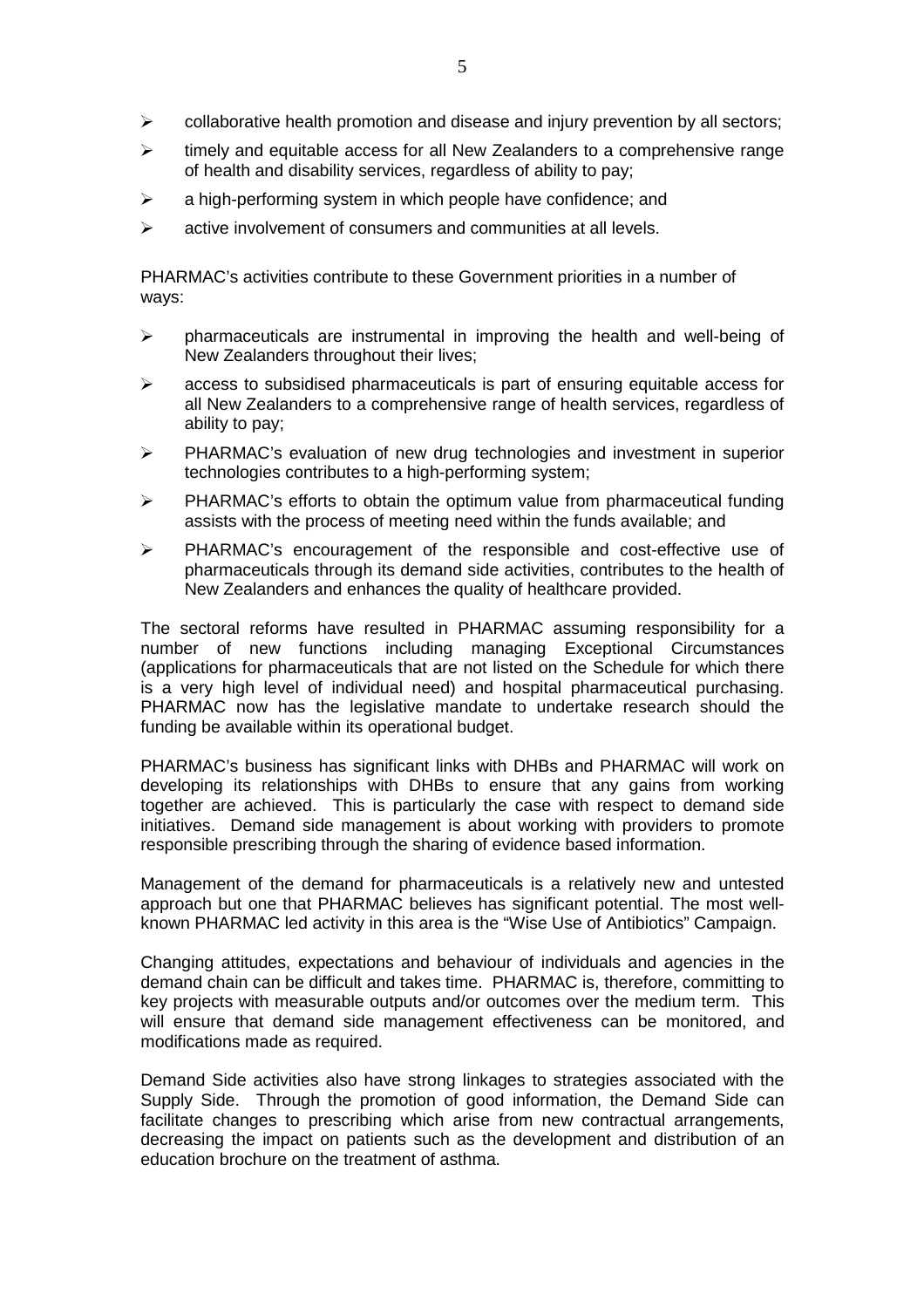- $\triangleright$  collaborative health promotion and disease and injury prevention by all sectors;
- $\geq$  timely and equitable access for all New Zealanders to a comprehensive range of health and disability services, regardless of ability to pay;
- $\geq$  a high-performing system in which people have confidence; and
- $\triangleright$  active involvement of consumers and communities at all levels.

PHARMAC's activities contribute to these Government priorities in a number of ways:

- $\triangleright$  pharmaceuticals are instrumental in improving the health and well-being of New Zealanders throughout their lives;
- $\triangleright$  access to subsidised pharmaceuticals is part of ensuring equitable access for all New Zealanders to a comprehensive range of health services, regardless of ability to pay;
- $\triangleright$  PHARMAC's evaluation of new drug technologies and investment in superior technologies contributes to a high-performing system;
- $\triangleright$  PHARMAC's efforts to obtain the optimum value from pharmaceutical funding assists with the process of meeting need within the funds available; and
- $\triangleright$  PHARMAC's encouragement of the responsible and cost-effective use of pharmaceuticals through its demand side activities, contributes to the health of New Zealanders and enhances the quality of healthcare provided.

The sectoral reforms have resulted in PHARMAC assuming responsibility for a number of new functions including managing Exceptional Circumstances (applications for pharmaceuticals that are not listed on the Schedule for which there is a very high level of individual need) and hospital pharmaceutical purchasing. PHARMAC now has the legislative mandate to undertake research should the funding be available within its operational budget.

PHARMAC's business has significant links with DHBs and PHARMAC will work on developing its relationships with DHBs to ensure that any gains from working together are achieved. This is particularly the case with respect to demand side initiatives. Demand side management is about working with providers to promote responsible prescribing through the sharing of evidence based information.

Management of the demand for pharmaceuticals is a relatively new and untested approach but one that PHARMAC believes has significant potential. The most wellknown PHARMAC led activity in this area is the "Wise Use of Antibiotics" Campaign.

Changing attitudes, expectations and behaviour of individuals and agencies in the demand chain can be difficult and takes time. PHARMAC is, therefore, committing to key projects with measurable outputs and/or outcomes over the medium term. This will ensure that demand side management effectiveness can be monitored, and modifications made as required.

Demand Side activities also have strong linkages to strategies associated with the Supply Side. Through the promotion of good information, the Demand Side can facilitate changes to prescribing which arise from new contractual arrangements, decreasing the impact on patients such as the development and distribution of an education brochure on the treatment of asthma.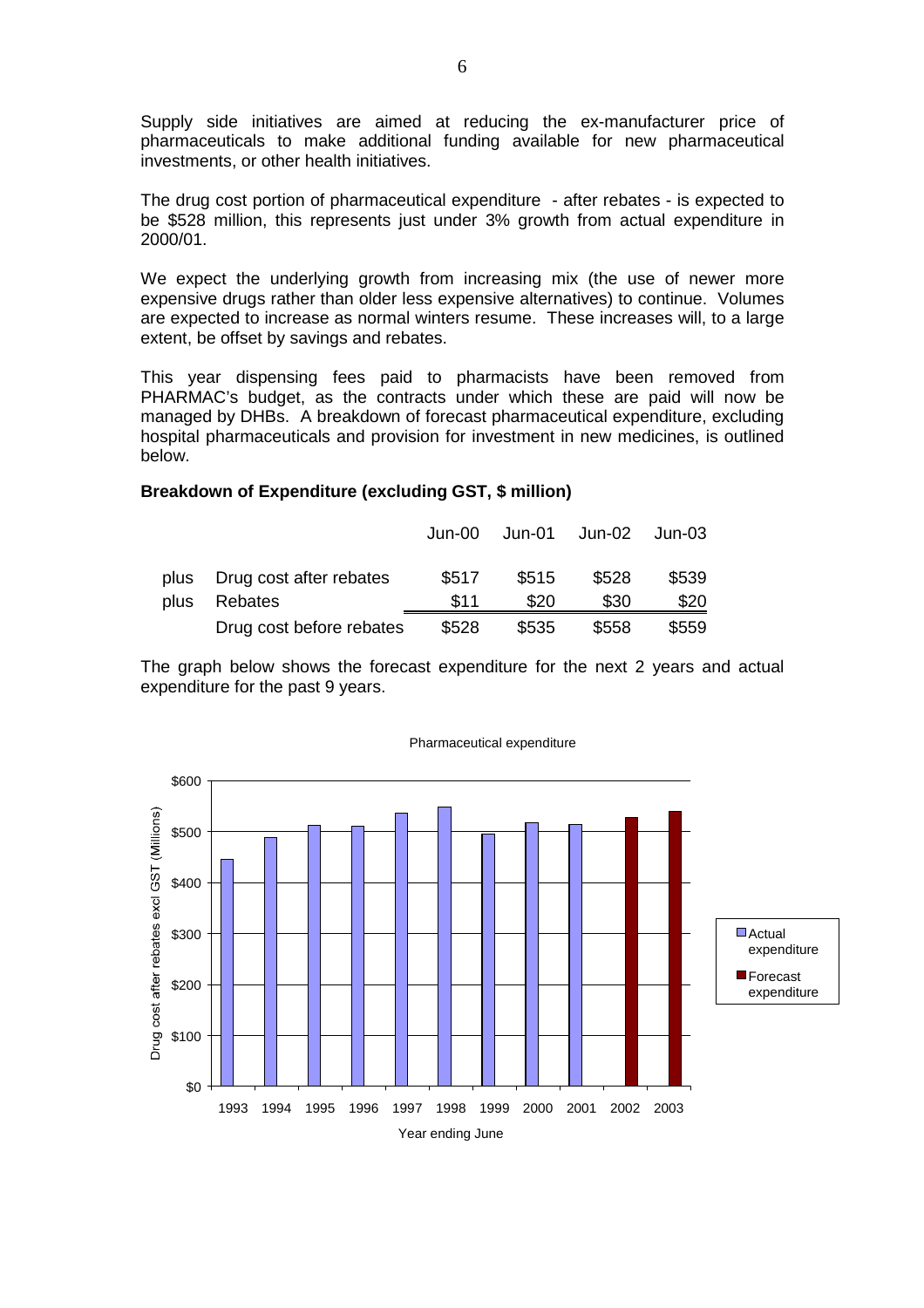Supply side initiatives are aimed at reducing the ex-manufacturer price of pharmaceuticals to make additional funding available for new pharmaceutical investments, or other health initiatives.

The drug cost portion of pharmaceutical expenditure - after rebates - is expected to be \$528 million, this represents just under 3% growth from actual expenditure in 2000/01.

We expect the underlying growth from increasing mix (the use of newer more expensive drugs rather than older less expensive alternatives) to continue. Volumes are expected to increase as normal winters resume. These increases will, to a large extent, be offset by savings and rebates.

This year dispensing fees paid to pharmacists have been removed from PHARMAC's budget, as the contracts under which these are paid will now be managed by DHBs. A breakdown of forecast pharmaceutical expenditure, excluding hospital pharmaceuticals and provision for investment in new medicines, is outlined below.

#### **Breakdown of Expenditure (excluding GST, \$ million)**

|      |                          | Jun-00 |       | Jun-01 Jun-02 | Jun-03 |
|------|--------------------------|--------|-------|---------------|--------|
| plus | Drug cost after rebates  | \$517  | \$515 | \$528         | \$539  |
| plus | Rebates                  | \$11   | \$20  | \$30          | \$20   |
|      | Drug cost before rebates | \$528  | \$535 | \$558         | \$559  |

The graph below shows the forecast expenditure for the next 2 years and actual expenditure for the past 9 years.



Pharmaceutical expenditure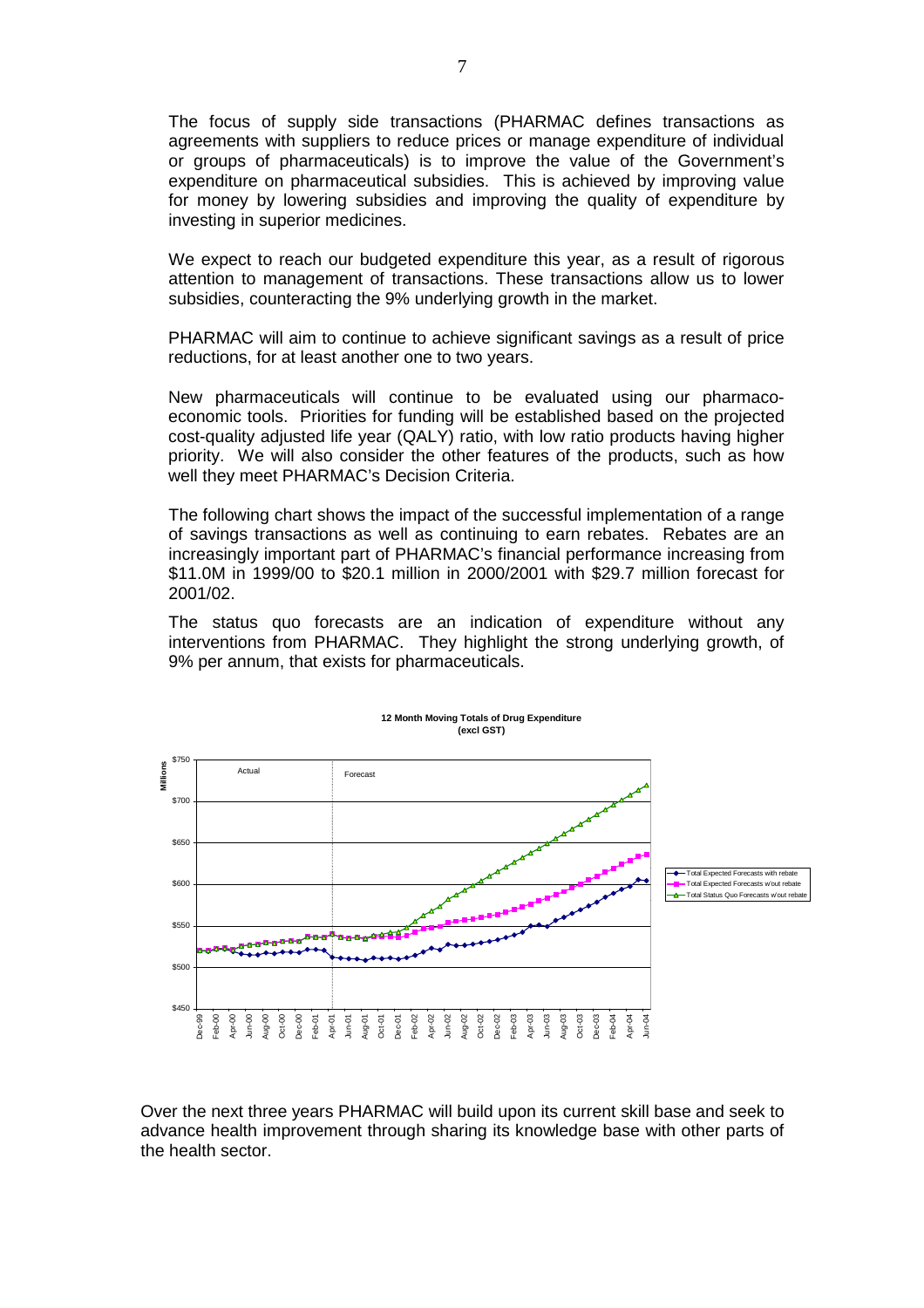The focus of supply side transactions (PHARMAC defines transactions as agreements with suppliers to reduce prices or manage expenditure of individual or groups of pharmaceuticals) is to improve the value of the Government's expenditure on pharmaceutical subsidies. This is achieved by improving value for money by lowering subsidies and improving the quality of expenditure by investing in superior medicines.

We expect to reach our budgeted expenditure this year, as a result of rigorous attention to management of transactions. These transactions allow us to lower subsidies, counteracting the 9% underlying growth in the market.

PHARMAC will aim to continue to achieve significant savings as a result of price reductions, for at least another one to two years.

New pharmaceuticals will continue to be evaluated using our pharmacoeconomic tools. Priorities for funding will be established based on the projected cost-quality adjusted life year (QALY) ratio, with low ratio products having higher priority. We will also consider the other features of the products, such as how well they meet PHARMAC's Decision Criteria.

The following chart shows the impact of the successful implementation of a range of savings transactions as well as continuing to earn rebates. Rebates are an increasingly important part of PHARMAC's financial performance increasing from \$11.0M in 1999/00 to \$20.1 million in 2000/2001 with \$29.7 million forecast for 2001/02.

The status quo forecasts are an indication of expenditure without any interventions from PHARMAC. They highlight the strong underlying growth, of 9% per annum, that exists for pharmaceuticals.



Over the next three years PHARMAC will build upon its current skill base and seek to advance health improvement through sharing its knowledge base with other parts of the health sector.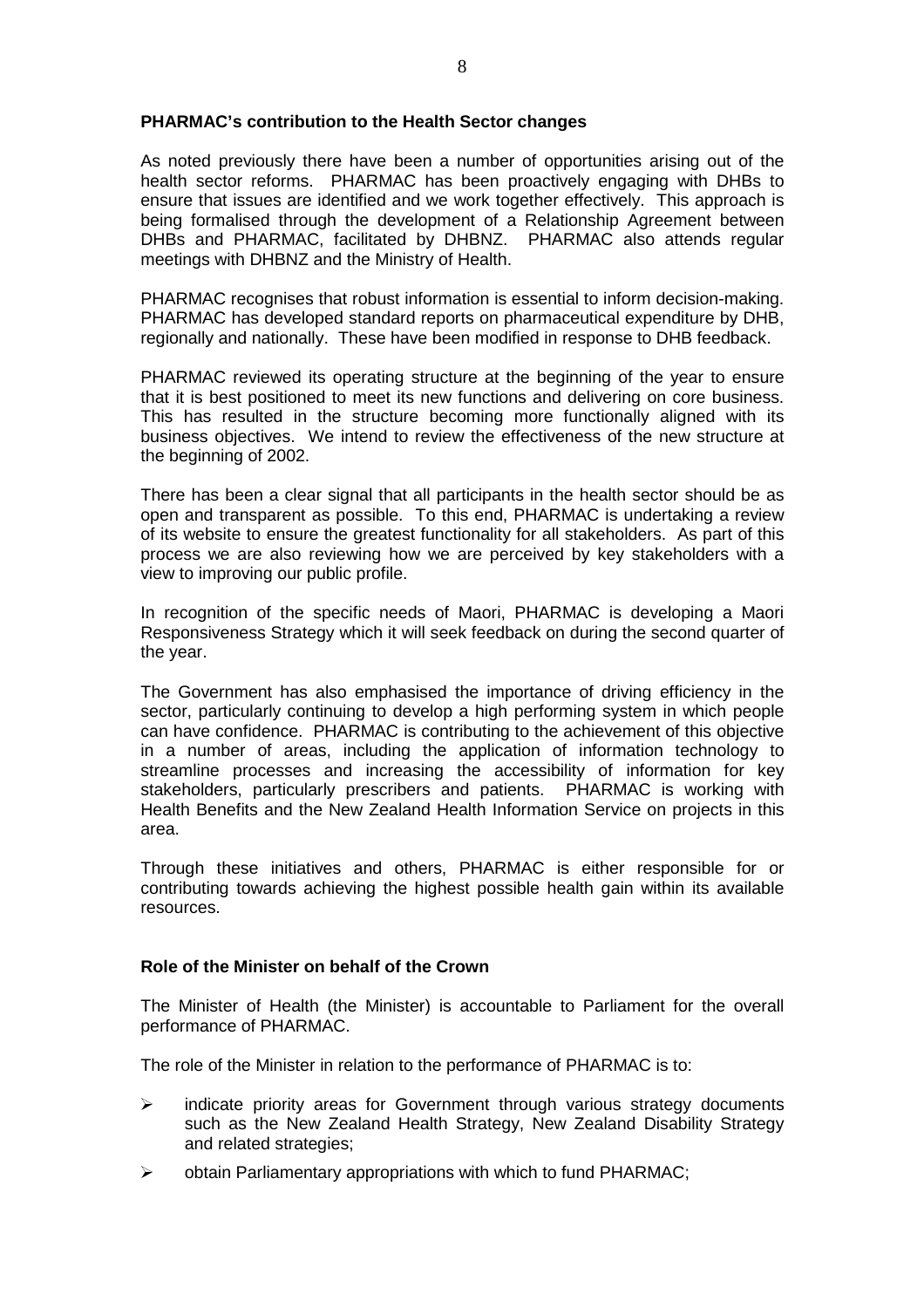#### **PHARMAC's contribution to the Health Sector changes**

As noted previously there have been a number of opportunities arising out of the health sector reforms. PHARMAC has been proactively engaging with DHBs to ensure that issues are identified and we work together effectively. This approach is being formalised through the development of a Relationship Agreement between DHBs and PHARMAC, facilitated by DHBNZ. PHARMAC also attends regular meetings with DHBNZ and the Ministry of Health.

PHARMAC recognises that robust information is essential to inform decision-making. PHARMAC has developed standard reports on pharmaceutical expenditure by DHB, regionally and nationally. These have been modified in response to DHB feedback.

PHARMAC reviewed its operating structure at the beginning of the year to ensure that it is best positioned to meet its new functions and delivering on core business. This has resulted in the structure becoming more functionally aligned with its business objectives. We intend to review the effectiveness of the new structure at the beginning of 2002.

There has been a clear signal that all participants in the health sector should be as open and transparent as possible. To this end, PHARMAC is undertaking a review of its website to ensure the greatest functionality for all stakeholders. As part of this process we are also reviewing how we are perceived by key stakeholders with a view to improving our public profile.

In recognition of the specific needs of Maori, PHARMAC is developing a Maori Responsiveness Strategy which it will seek feedback on during the second quarter of the year.

The Government has also emphasised the importance of driving efficiency in the sector, particularly continuing to develop a high performing system in which people can have confidence. PHARMAC is contributing to the achievement of this objective in a number of areas, including the application of information technology to streamline processes and increasing the accessibility of information for key stakeholders, particularly prescribers and patients. PHARMAC is working with Health Benefits and the New Zealand Health Information Service on projects in this area.

Through these initiatives and others, PHARMAC is either responsible for or contributing towards achieving the highest possible health gain within its available resources.

# **Role of the Minister on behalf of the Crown**

The Minister of Health (the Minister) is accountable to Parliament for the overall performance of PHARMAC.

The role of the Minister in relation to the performance of PHARMAC is to:

- $\triangleright$  indicate priority areas for Government through various strategy documents such as the New Zealand Health Strategy, New Zealand Disability Strategy and related strategies;
- $\triangleright$  obtain Parliamentary appropriations with which to fund PHARMAC;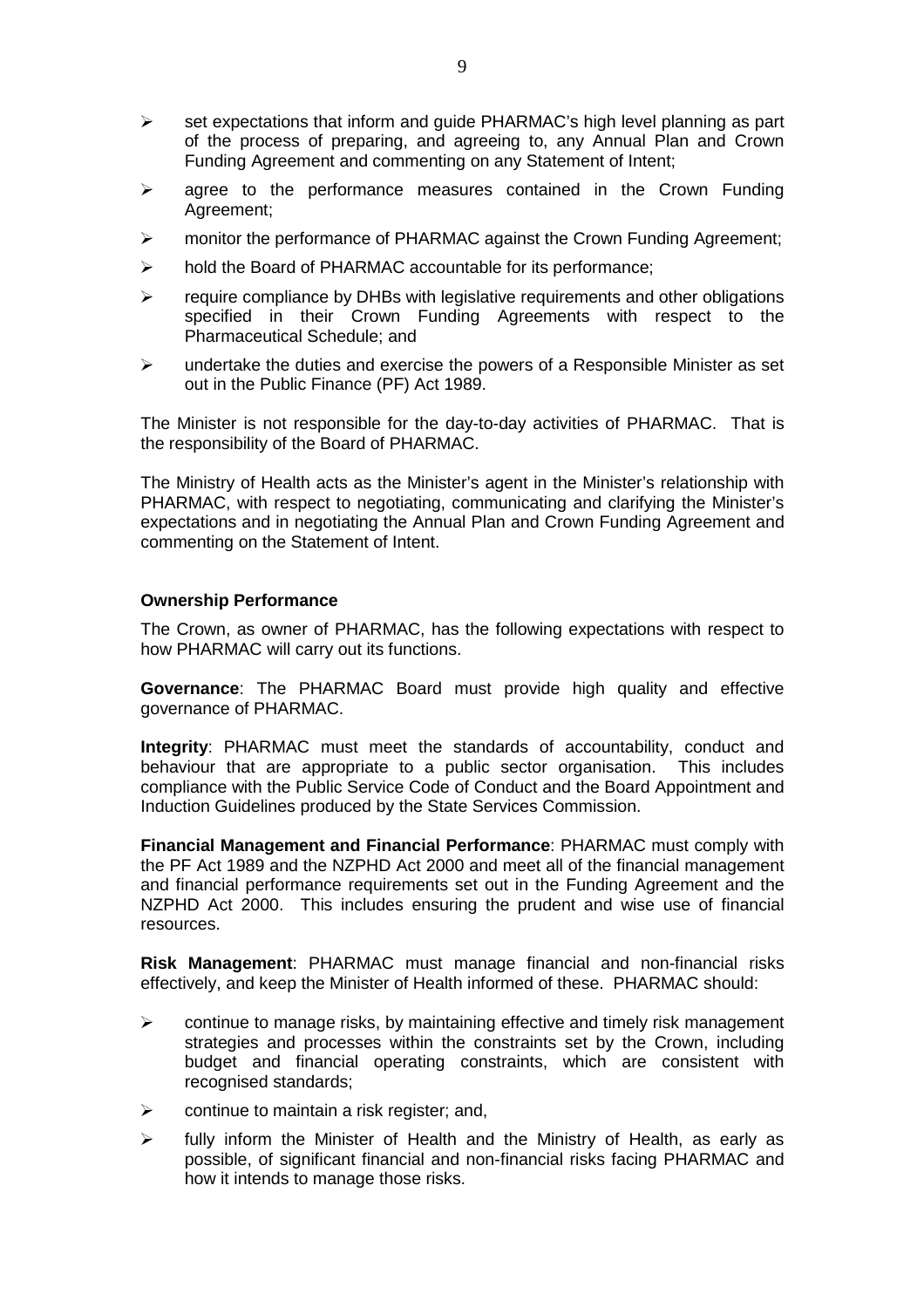- $\triangleright$  set expectations that inform and quide PHARMAC's high level planning as part of the process of preparing, and agreeing to, any Annual Plan and Crown Funding Agreement and commenting on any Statement of Intent;
- $\triangleright$  agree to the performance measures contained in the Crown Funding Agreement;
- $\triangleright$  monitor the performance of PHARMAC against the Crown Funding Agreement;
- $\triangleright$  hold the Board of PHARMAC accountable for its performance;
- $\triangleright$  require compliance by DHBs with legislative requirements and other obligations specified in their Crown Funding Agreements with respect to the Pharmaceutical Schedule; and
- $\triangleright$  undertake the duties and exercise the powers of a Responsible Minister as set out in the Public Finance (PF) Act 1989.

The Minister is not responsible for the day-to-day activities of PHARMAC. That is the responsibility of the Board of PHARMAC.

The Ministry of Health acts as the Minister's agent in the Minister's relationship with PHARMAC, with respect to negotiating, communicating and clarifying the Minister's expectations and in negotiating the Annual Plan and Crown Funding Agreement and commenting on the Statement of Intent.

#### **Ownership Performance**

The Crown, as owner of PHARMAC, has the following expectations with respect to how PHARMAC will carry out its functions.

**Governance**: The PHARMAC Board must provide high quality and effective governance of PHARMAC.

**Integrity**: PHARMAC must meet the standards of accountability, conduct and behaviour that are appropriate to a public sector organisation. This includes compliance with the Public Service Code of Conduct and the Board Appointment and Induction Guidelines produced by the State Services Commission.

**Financial Management and Financial Performance**: PHARMAC must comply with the PF Act 1989 and the NZPHD Act 2000 and meet all of the financial management and financial performance requirements set out in the Funding Agreement and the NZPHD Act 2000. This includes ensuring the prudent and wise use of financial resources.

**Risk Management**: PHARMAC must manage financial and non-financial risks effectively, and keep the Minister of Health informed of these. PHARMAC should:

- $\triangleright$  continue to manage risks, by maintaining effective and timely risk management strategies and processes within the constraints set by the Crown, including budget and financial operating constraints, which are consistent with recognised standards;
- $\triangleright$  continue to maintain a risk register; and,
- $\triangleright$  fully inform the Minister of Health and the Ministry of Health, as early as possible, of significant financial and non-financial risks facing PHARMAC and how it intends to manage those risks.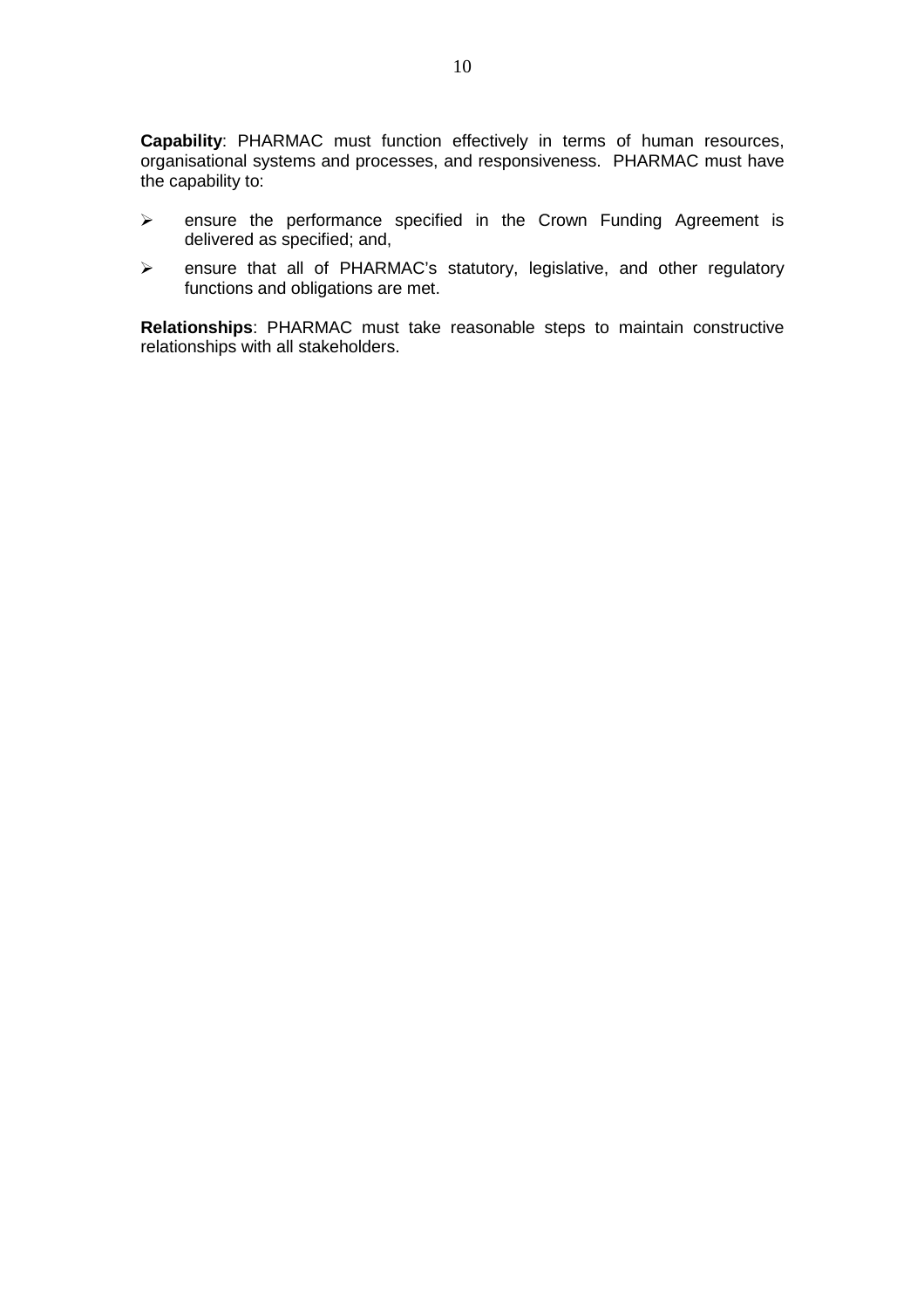**Capability**: PHARMAC must function effectively in terms of human resources, organisational systems and processes, and responsiveness. PHARMAC must have the capability to:

- $\triangleright$  ensure the performance specified in the Crown Funding Agreement is delivered as specified; and,
- ensure that all of PHARMAC's statutory, legislative, and other regulatory functions and obligations are met.

**Relationships**: PHARMAC must take reasonable steps to maintain constructive relationships with all stakeholders.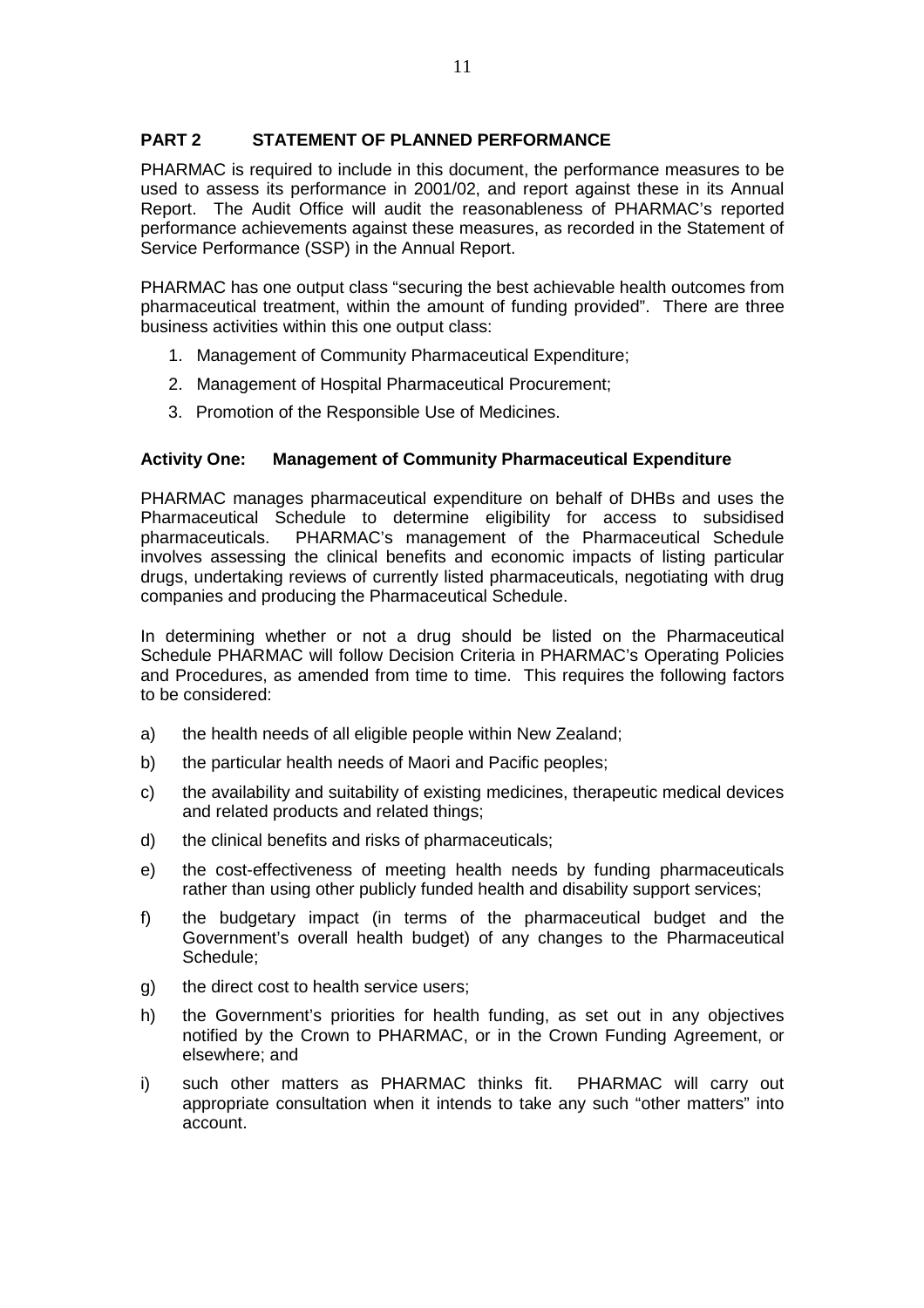# **PART 2 STATEMENT OF PLANNED PERFORMANCE**

PHARMAC is required to include in this document, the performance measures to be used to assess its performance in 2001/02, and report against these in its Annual Report. The Audit Office will audit the reasonableness of PHARMAC's reported performance achievements against these measures, as recorded in the Statement of Service Performance (SSP) in the Annual Report.

PHARMAC has one output class "securing the best achievable health outcomes from pharmaceutical treatment, within the amount of funding provided". There are three business activities within this one output class:

- 1. Management of Community Pharmaceutical Expenditure;
- 2. Management of Hospital Pharmaceutical Procurement;
- 3. Promotion of the Responsible Use of Medicines.

# **Activity One: Management of Community Pharmaceutical Expenditure**

PHARMAC manages pharmaceutical expenditure on behalf of DHBs and uses the Pharmaceutical Schedule to determine eligibility for access to subsidised pharmaceuticals. PHARMAC's management of the Pharmaceutical Schedule involves assessing the clinical benefits and economic impacts of listing particular drugs, undertaking reviews of currently listed pharmaceuticals, negotiating with drug companies and producing the Pharmaceutical Schedule.

In determining whether or not a drug should be listed on the Pharmaceutical Schedule PHARMAC will follow Decision Criteria in PHARMAC's Operating Policies and Procedures, as amended from time to time. This requires the following factors to be considered:

- a) the health needs of all eligible people within New Zealand;
- b) the particular health needs of Maori and Pacific peoples;
- c) the availability and suitability of existing medicines, therapeutic medical devices and related products and related things;
- d) the clinical benefits and risks of pharmaceuticals;
- e) the cost-effectiveness of meeting health needs by funding pharmaceuticals rather than using other publicly funded health and disability support services;
- f) the budgetary impact (in terms of the pharmaceutical budget and the Government's overall health budget) of any changes to the Pharmaceutical Schedule;
- g) the direct cost to health service users;
- h) the Government's priorities for health funding, as set out in any objectives notified by the Crown to PHARMAC, or in the Crown Funding Agreement, or elsewhere; and
- i) such other matters as PHARMAC thinks fit. PHARMAC will carry out appropriate consultation when it intends to take any such "other matters" into account.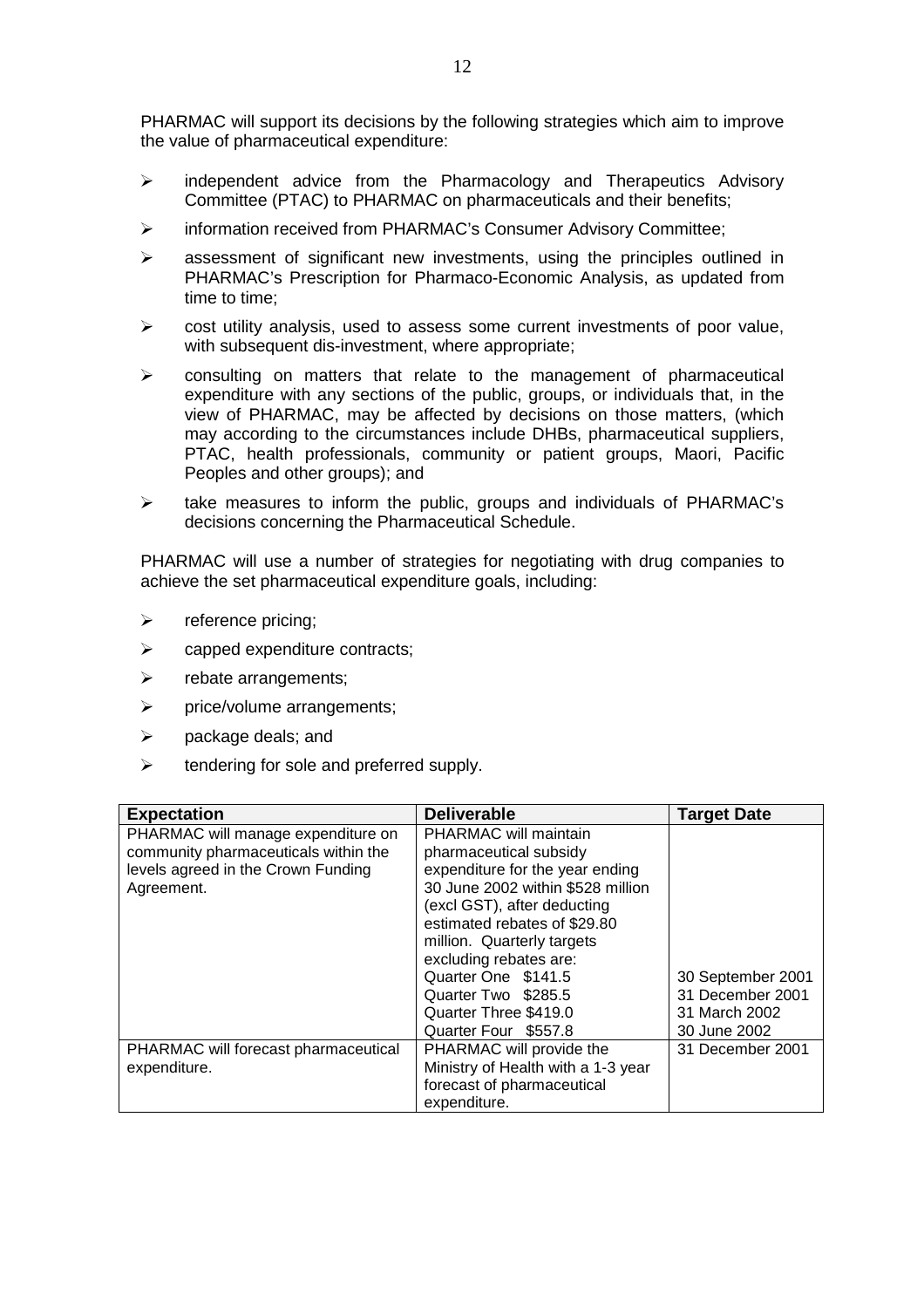PHARMAC will support its decisions by the following strategies which aim to improve the value of pharmaceutical expenditure:

- $\geq$  independent advice from the Pharmacology and Therapeutics Advisory Committee (PTAC) to PHARMAC on pharmaceuticals and their benefits;
- information received from PHARMAC's Consumer Advisory Committee;
- $\triangleright$  assessment of significant new investments, using the principles outlined in PHARMAC's Prescription for Pharmaco-Economic Analysis, as updated from time to time;
- $\triangleright$  cost utility analysis, used to assess some current investments of poor value, with subsequent dis-investment, where appropriate;
- $\triangleright$  consulting on matters that relate to the management of pharmaceutical expenditure with any sections of the public, groups, or individuals that, in the view of PHARMAC, may be affected by decisions on those matters, (which may according to the circumstances include DHBs, pharmaceutical suppliers, PTAC, health professionals, community or patient groups, Maori, Pacific Peoples and other groups); and
- $\triangleright$  take measures to inform the public, groups and individuals of PHARMAC's decisions concerning the Pharmaceutical Schedule.

PHARMAC will use a number of strategies for negotiating with drug companies to achieve the set pharmaceutical expenditure goals, including:

- $\triangleright$  reference pricing;
- $\triangleright$  capped expenditure contracts;
- $\triangleright$  rebate arrangements:
- $\triangleright$  price/volume arrangements;
- $\triangleright$  package deals; and
- $\triangleright$  tendering for sole and preferred supply.

| <b>Expectation</b>                   | <b>Deliverable</b>                 | <b>Target Date</b> |
|--------------------------------------|------------------------------------|--------------------|
| PHARMAC will manage expenditure on   | PHARMAC will maintain              |                    |
| community pharmaceuticals within the | pharmaceutical subsidy             |                    |
| levels agreed in the Crown Funding   | expenditure for the year ending    |                    |
| Agreement.                           | 30 June 2002 within \$528 million  |                    |
|                                      | (excl GST), after deducting        |                    |
|                                      | estimated rebates of \$29.80       |                    |
|                                      | million. Quarterly targets         |                    |
|                                      | excluding rebates are:             |                    |
|                                      | Quarter One \$141.5                | 30 September 2001  |
|                                      | Quarter Two \$285.5                | 31 December 2001   |
|                                      | Quarter Three \$419.0              | 31 March 2002      |
|                                      | Quarter Four \$557.8               | 30 June 2002       |
| PHARMAC will forecast pharmaceutical | PHARMAC will provide the           | 31 December 2001   |
| expenditure.                         | Ministry of Health with a 1-3 year |                    |
|                                      | forecast of pharmaceutical         |                    |
|                                      | expenditure.                       |                    |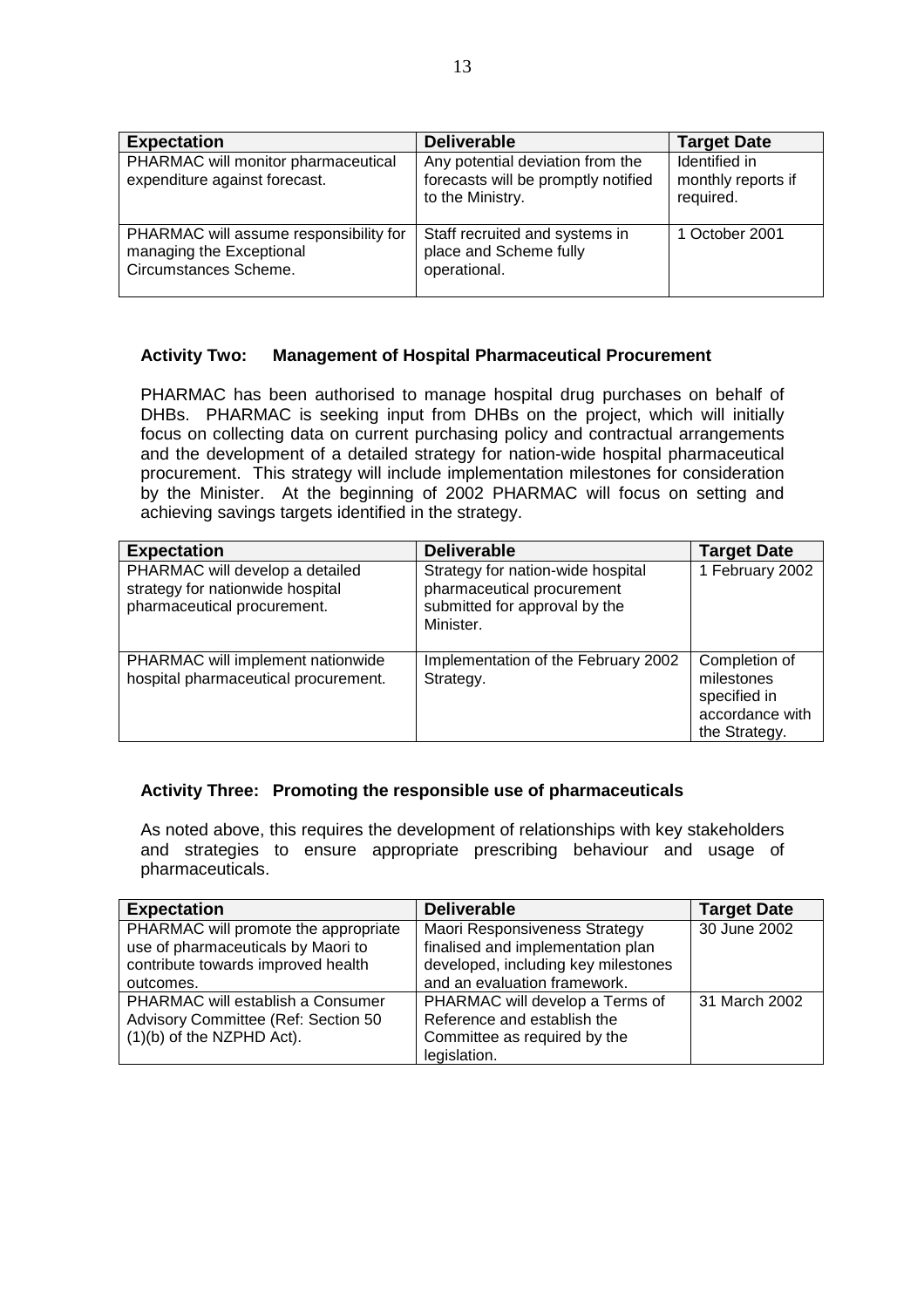| <b>Expectation</b>                                                                          | <b>Deliverable</b>                                                                          | <b>Target Date</b>                               |
|---------------------------------------------------------------------------------------------|---------------------------------------------------------------------------------------------|--------------------------------------------------|
| PHARMAC will monitor pharmaceutical<br>expenditure against forecast.                        | Any potential deviation from the<br>forecasts will be promptly notified<br>to the Ministry. | Identified in<br>monthly reports if<br>required. |
| PHARMAC will assume responsibility for<br>managing the Exceptional<br>Circumstances Scheme. | Staff recruited and systems in<br>place and Scheme fully<br>operational.                    | 1 October 2001                                   |

# **Activity Two: Management of Hospital Pharmaceutical Procurement**

PHARMAC has been authorised to manage hospital drug purchases on behalf of DHBs. PHARMAC is seeking input from DHBs on the project, which will initially focus on collecting data on current purchasing policy and contractual arrangements and the development of a detailed strategy for nation-wide hospital pharmaceutical procurement. This strategy will include implementation milestones for consideration by the Minister. At the beginning of 2002 PHARMAC will focus on setting and achieving savings targets identified in the strategy.

| <b>Expectation</b>                                                                                 | <b>Deliverable</b>                                                                                            | <b>Target Date</b>                                                              |
|----------------------------------------------------------------------------------------------------|---------------------------------------------------------------------------------------------------------------|---------------------------------------------------------------------------------|
| PHARMAC will develop a detailed<br>strategy for nationwide hospital<br>pharmaceutical procurement. | Strategy for nation-wide hospital<br>pharmaceutical procurement<br>submitted for approval by the<br>Minister. | 1 February 2002                                                                 |
| PHARMAC will implement nationwide<br>hospital pharmaceutical procurement.                          | Implementation of the February 2002<br>Strategy.                                                              | Completion of<br>milestones<br>specified in<br>accordance with<br>the Strategy. |

# **Activity Three: Promoting the responsible use of pharmaceuticals**

As noted above, this requires the development of relationships with key stakeholders and strategies to ensure appropriate prescribing behaviour and usage of pharmaceuticals.

| <b>Expectation</b>                   | <b>Deliverable</b>                  | <b>Target Date</b> |
|--------------------------------------|-------------------------------------|--------------------|
| PHARMAC will promote the appropriate | Maori Responsiveness Strategy       | 30 June 2002       |
| use of pharmaceuticals by Maori to   | finalised and implementation plan   |                    |
| contribute towards improved health   | developed, including key milestones |                    |
| outcomes.                            | and an evaluation framework.        |                    |
| PHARMAC will establish a Consumer    | PHARMAC will develop a Terms of     | 31 March 2002      |
| Advisory Committee (Ref: Section 50  | Reference and establish the         |                    |
| $(1)(b)$ of the NZPHD Act).          | Committee as required by the        |                    |
|                                      | legislation.                        |                    |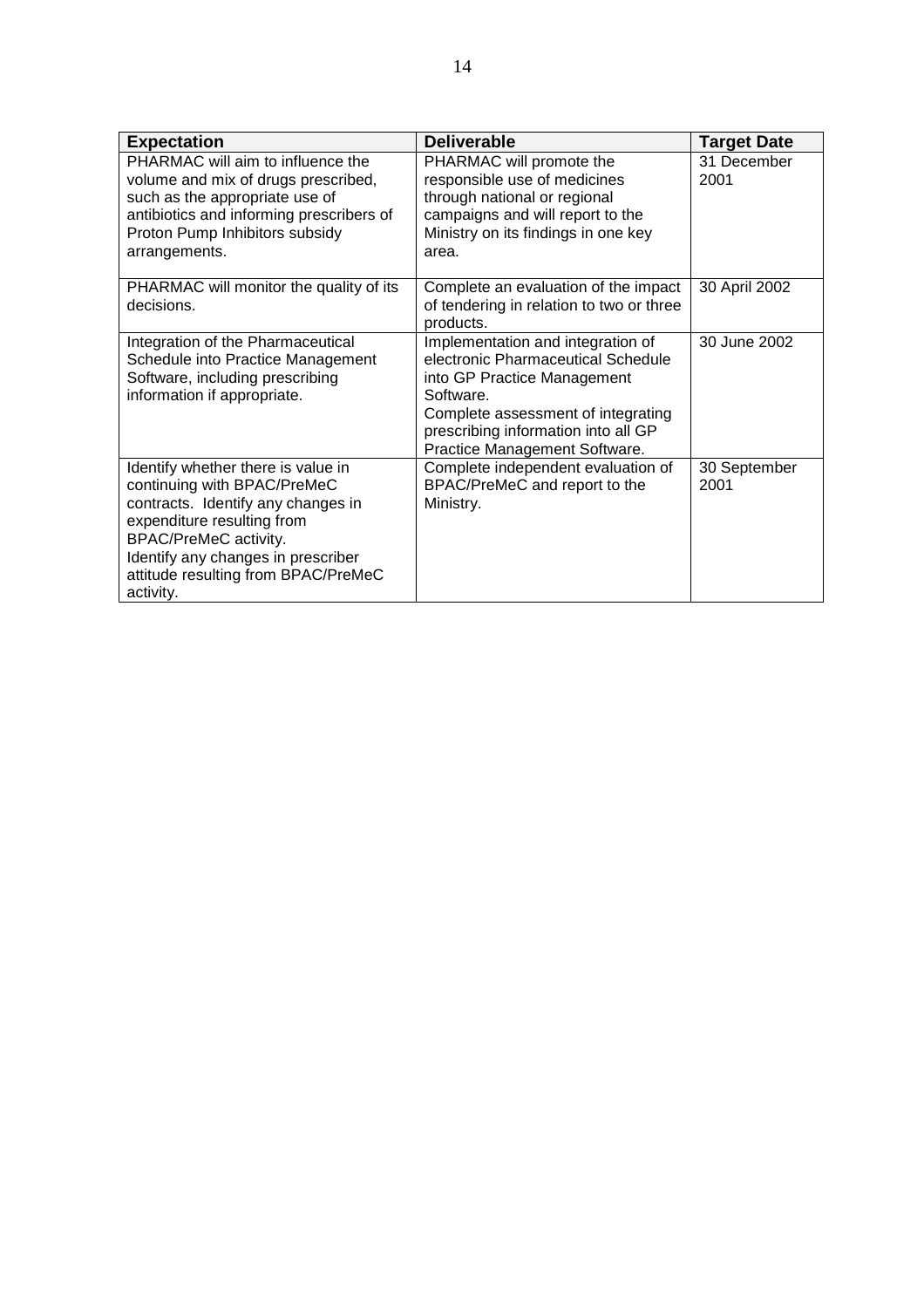| <b>Expectation</b>                                                                                                                                                                                                                                       | <b>Deliverable</b>                                                                                                                                                                                                                | <b>Target Date</b>   |
|----------------------------------------------------------------------------------------------------------------------------------------------------------------------------------------------------------------------------------------------------------|-----------------------------------------------------------------------------------------------------------------------------------------------------------------------------------------------------------------------------------|----------------------|
| PHARMAC will aim to influence the<br>volume and mix of drugs prescribed,<br>such as the appropriate use of<br>antibiotics and informing prescribers of<br>Proton Pump Inhibitors subsidy<br>arrangements.                                                | PHARMAC will promote the<br>responsible use of medicines<br>through national or regional<br>campaigns and will report to the<br>Ministry on its findings in one key<br>area.                                                      | 31 December<br>2001  |
| PHARMAC will monitor the quality of its<br>decisions.                                                                                                                                                                                                    | Complete an evaluation of the impact<br>of tendering in relation to two or three<br>products.                                                                                                                                     | 30 April 2002        |
| Integration of the Pharmaceutical<br>Schedule into Practice Management<br>Software, including prescribing<br>information if appropriate.                                                                                                                 | Implementation and integration of<br>electronic Pharmaceutical Schedule<br>into GP Practice Management<br>Software.<br>Complete assessment of integrating<br>prescribing information into all GP<br>Practice Management Software. | 30 June 2002         |
| Identify whether there is value in<br>continuing with BPAC/PreMeC<br>contracts. Identify any changes in<br>expenditure resulting from<br>BPAC/PreMeC activity.<br>Identify any changes in prescriber<br>attitude resulting from BPAC/PreMeC<br>activity. | Complete independent evaluation of<br>BPAC/PreMeC and report to the<br>Ministry.                                                                                                                                                  | 30 September<br>2001 |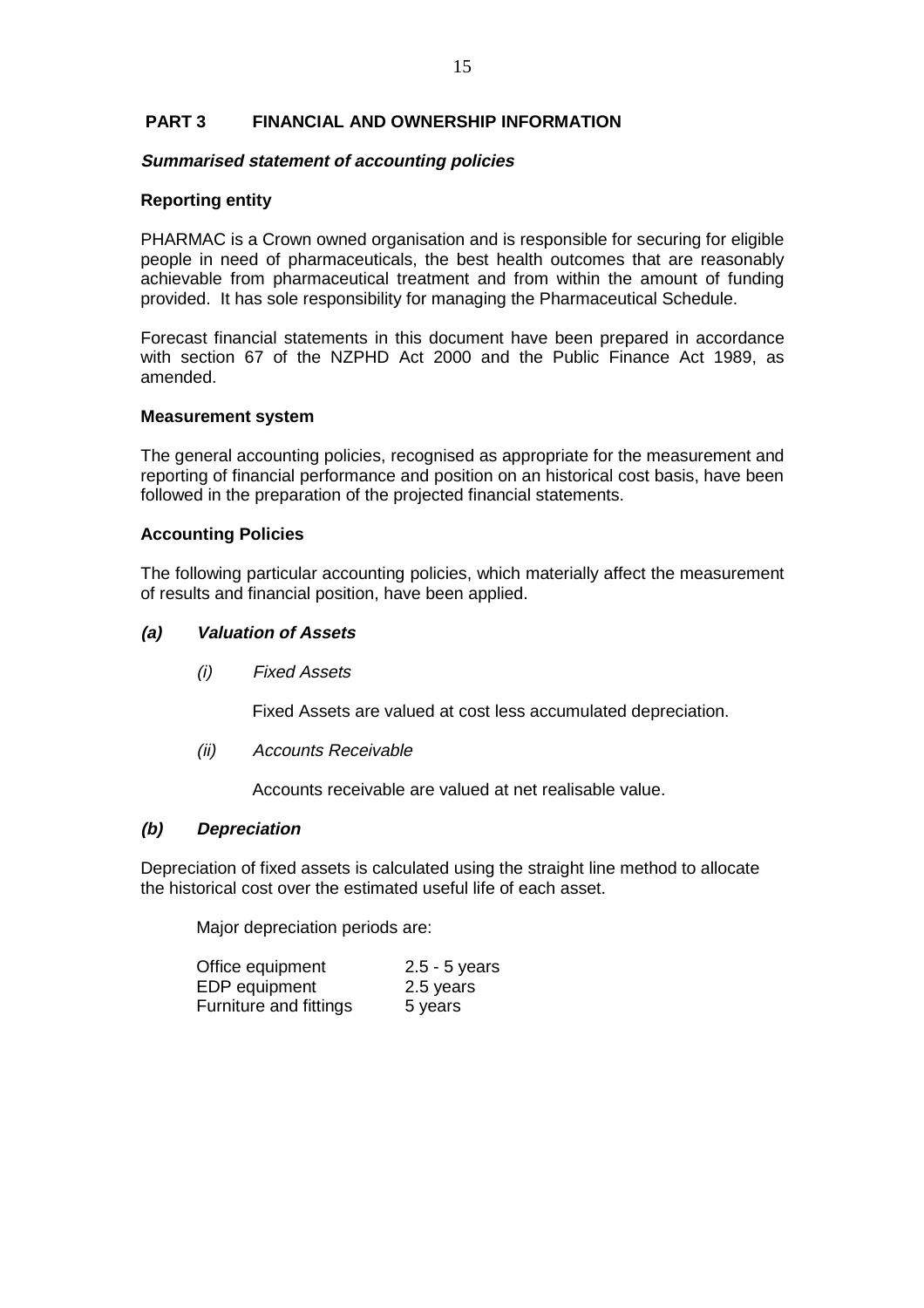# **PART 3 FINANCIAL AND OWNERSHIP INFORMATION**

#### **Summarised statement of accounting policies**

#### **Reporting entity**

PHARMAC is a Crown owned organisation and is responsible for securing for eligible people in need of pharmaceuticals, the best health outcomes that are reasonably achievable from pharmaceutical treatment and from within the amount of funding provided. It has sole responsibility for managing the Pharmaceutical Schedule.

Forecast financial statements in this document have been prepared in accordance with section 67 of the NZPHD Act 2000 and the Public Finance Act 1989, as amended.

#### **Measurement system**

The general accounting policies, recognised as appropriate for the measurement and reporting of financial performance and position on an historical cost basis, have been followed in the preparation of the projected financial statements.

#### **Accounting Policies**

The following particular accounting policies, which materially affect the measurement of results and financial position, have been applied.

#### **(a) Valuation of Assets**

(i) Fixed Assets

Fixed Assets are valued at cost less accumulated depreciation.

(ii) Accounts Receivable

Accounts receivable are valued at net realisable value.

#### **(b) Depreciation**

Depreciation of fixed assets is calculated using the straight line method to allocate the historical cost over the estimated useful life of each asset.

Major depreciation periods are:

| Office equipment       | $2.5 - 5$ years |
|------------------------|-----------------|
| EDP equipment          | 2.5 years       |
| Furniture and fittings | 5 years         |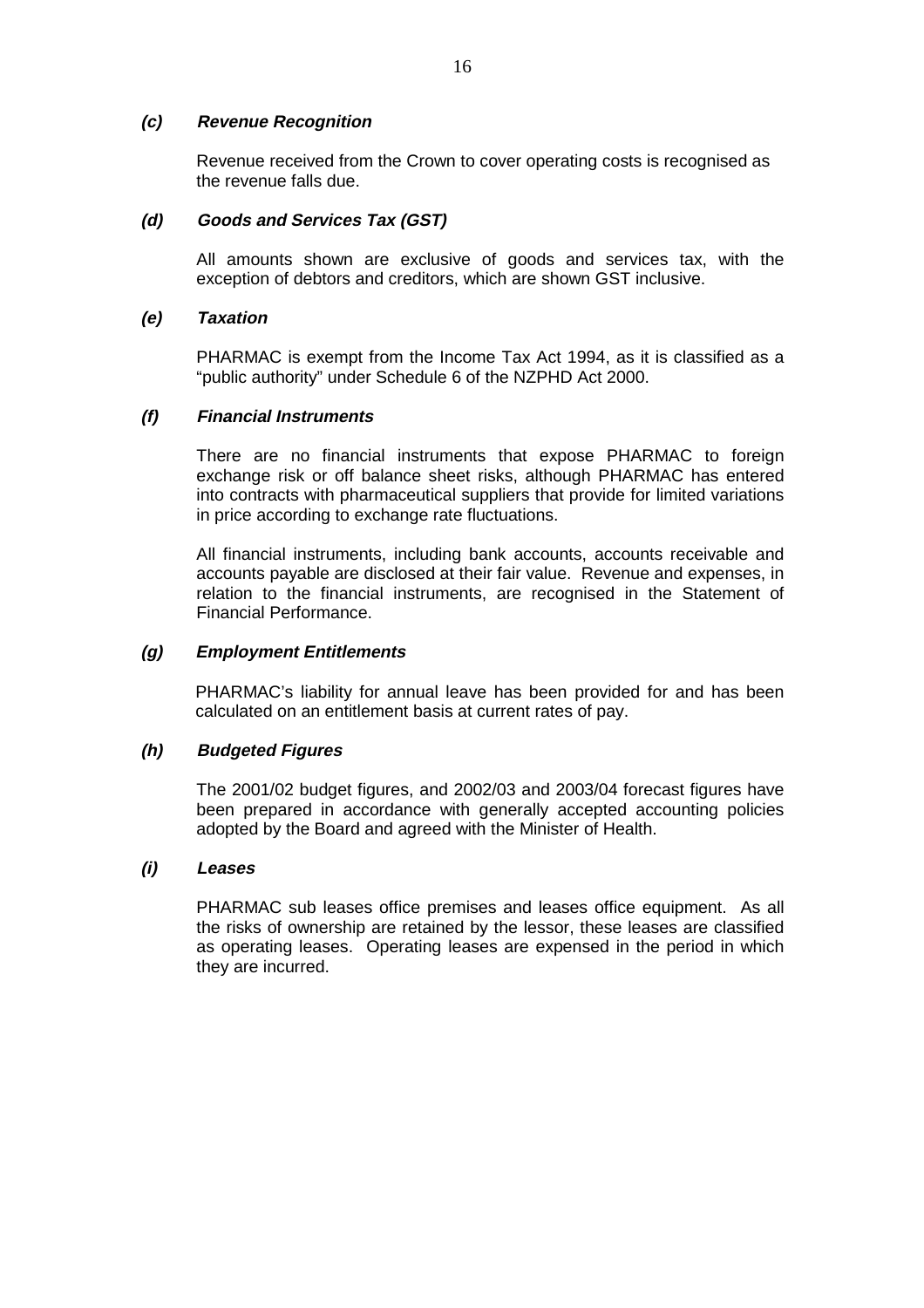# **(c) Revenue Recognition**

Revenue received from the Crown to cover operating costs is recognised as the revenue falls due.

# **(d) Goods and Services Tax (GST)**

All amounts shown are exclusive of goods and services tax, with the exception of debtors and creditors, which are shown GST inclusive.

#### **(e) Taxation**

PHARMAC is exempt from the Income Tax Act 1994, as it is classified as a "public authority" under Schedule 6 of the NZPHD Act 2000.

# **(f) Financial Instruments**

There are no financial instruments that expose PHARMAC to foreign exchange risk or off balance sheet risks, although PHARMAC has entered into contracts with pharmaceutical suppliers that provide for limited variations in price according to exchange rate fluctuations.

All financial instruments, including bank accounts, accounts receivable and accounts payable are disclosed at their fair value. Revenue and expenses, in relation to the financial instruments, are recognised in the Statement of Financial Performance.

### **(g) Employment Entitlements**

PHARMAC's liability for annual leave has been provided for and has been calculated on an entitlement basis at current rates of pay.

#### **(h) Budgeted Figures**

The 2001/02 budget figures, and 2002/03 and 2003/04 forecast figures have been prepared in accordance with generally accepted accounting policies adopted by the Board and agreed with the Minister of Health.

#### **(i) Leases**

PHARMAC sub leases office premises and leases office equipment. As all the risks of ownership are retained by the lessor, these leases are classified as operating leases. Operating leases are expensed in the period in which they are incurred.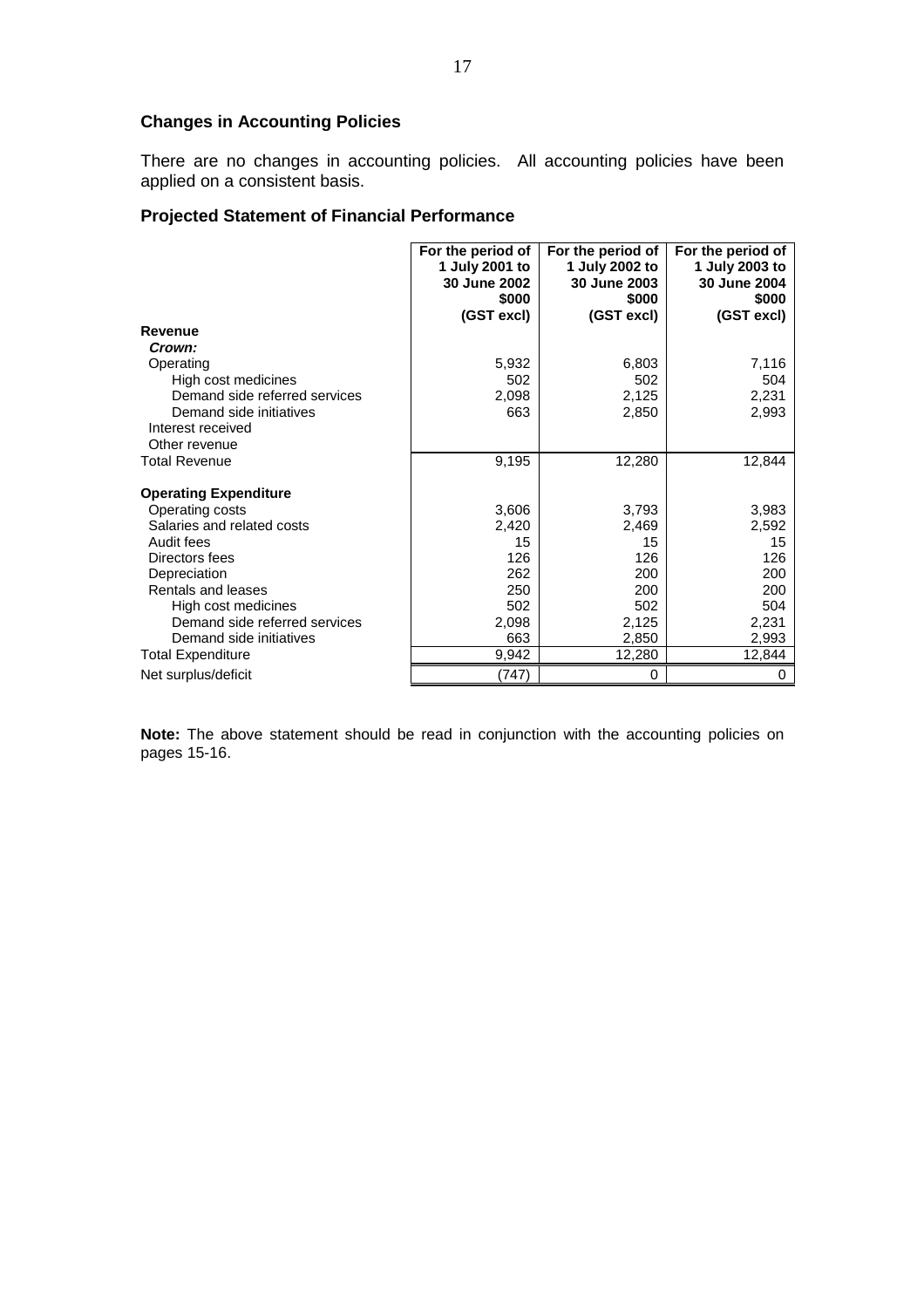# **Changes in Accounting Policies**

There are no changes in accounting policies. All accounting policies have been applied on a consistent basis.

# **Projected Statement of Financial Performance**

|                               | For the period of<br>1 July 2001 to<br>30 June 2002<br>\$000<br>(GST excl) | For the period of<br>1 July 2002 to<br>30 June 2003<br>\$000<br>(GST excl) | For the period of<br>1 July 2003 to<br>30 June 2004<br>\$000<br>(GST excl) |
|-------------------------------|----------------------------------------------------------------------------|----------------------------------------------------------------------------|----------------------------------------------------------------------------|
| Revenue                       |                                                                            |                                                                            |                                                                            |
| Crown:                        |                                                                            |                                                                            |                                                                            |
| Operating                     | 5,932                                                                      | 6,803                                                                      | 7,116                                                                      |
| High cost medicines           | 502                                                                        | 502                                                                        | 504                                                                        |
| Demand side referred services | 2,098                                                                      | 2,125                                                                      | 2,231                                                                      |
| Demand side initiatives       | 663                                                                        | 2,850                                                                      | 2,993                                                                      |
| Interest received             |                                                                            |                                                                            |                                                                            |
| Other revenue                 |                                                                            |                                                                            |                                                                            |
| <b>Total Revenue</b>          | 9,195                                                                      | 12,280                                                                     | 12,844                                                                     |
| <b>Operating Expenditure</b>  |                                                                            |                                                                            |                                                                            |
| Operating costs               | 3,606                                                                      | 3,793                                                                      | 3,983                                                                      |
| Salaries and related costs    | 2,420                                                                      | 2,469                                                                      | 2,592                                                                      |
| Audit fees                    | 15                                                                         | 15                                                                         | 15                                                                         |
| Directors fees                | 126                                                                        | 126                                                                        | 126                                                                        |
| Depreciation                  | 262                                                                        | 200                                                                        | 200                                                                        |
| Rentals and leases            | 250                                                                        | 200                                                                        | 200                                                                        |
| High cost medicines           | 502                                                                        | 502                                                                        | 504                                                                        |
| Demand side referred services | 2,098                                                                      | 2,125                                                                      | 2,231                                                                      |
| Demand side initiatives       | 663                                                                        | 2,850                                                                      | 2,993                                                                      |
| <b>Total Expenditure</b>      | 9,942                                                                      | 12,280                                                                     | 12,844                                                                     |
| Net surplus/deficit           | (747)                                                                      | 0                                                                          | 0                                                                          |

**Note:** The above statement should be read in conjunction with the accounting policies on pages 15-16.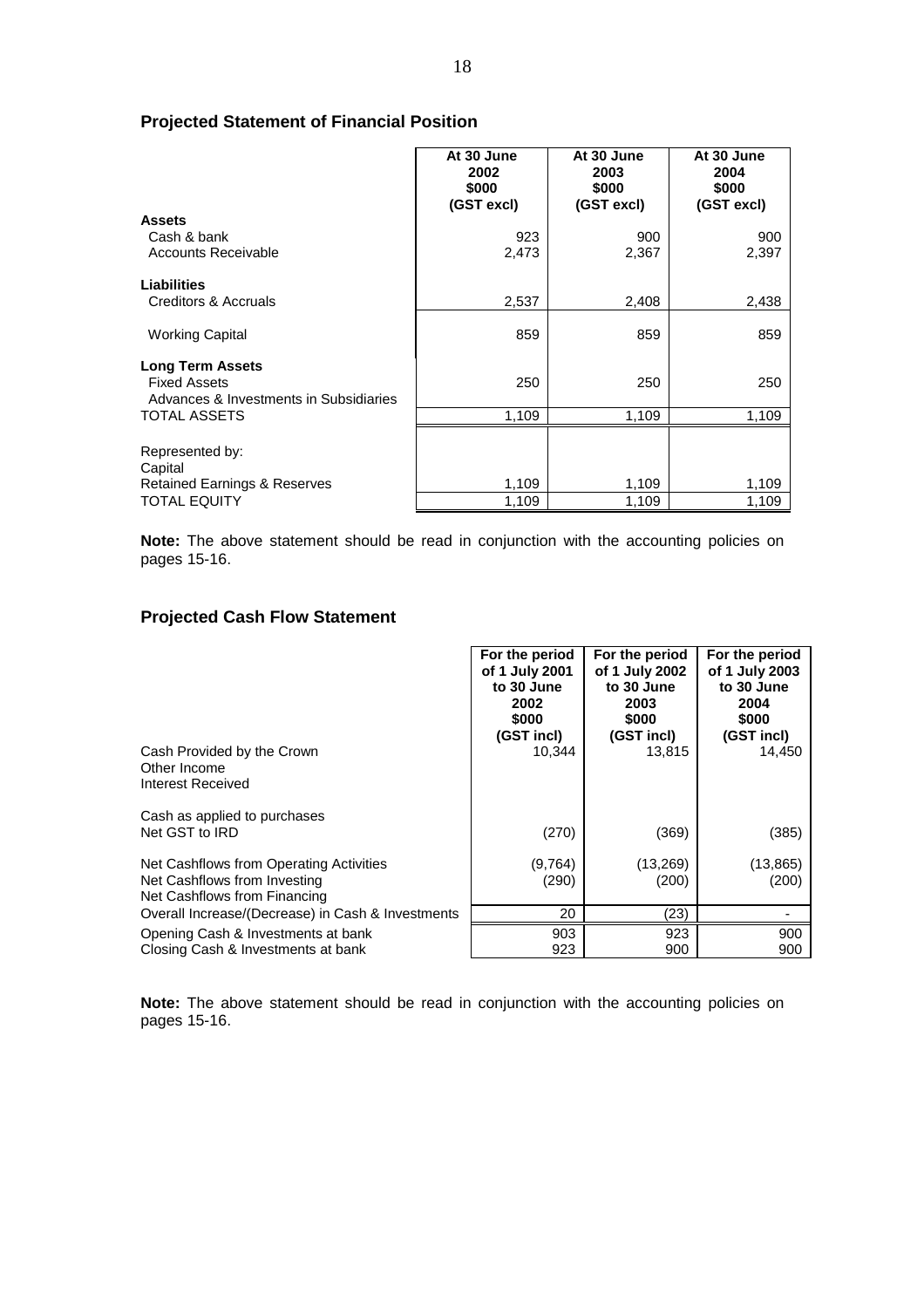# **Projected Statement of Financial Position**

|                                                                                          | At 30 June<br>2002<br>\$000<br>(GST excl) | At 30 June<br>2003<br>\$000<br>(GST excl) | At 30 June<br>2004<br>\$000<br>(GST excl) |
|------------------------------------------------------------------------------------------|-------------------------------------------|-------------------------------------------|-------------------------------------------|
| <b>Assets</b>                                                                            |                                           |                                           |                                           |
| Cash & bank                                                                              | 923                                       | 900                                       | 900                                       |
| <b>Accounts Receivable</b>                                                               | 2,473                                     | 2,367                                     | 2,397                                     |
| Liabilities                                                                              |                                           |                                           |                                           |
| Creditors & Accruals                                                                     | 2,537                                     | 2,408                                     | 2,438                                     |
| <b>Working Capital</b>                                                                   | 859                                       | 859                                       | 859                                       |
| <b>Long Term Assets</b><br><b>Fixed Assets</b><br>Advances & Investments in Subsidiaries | 250                                       | 250                                       | 250                                       |
| <b>TOTAL ASSETS</b>                                                                      | 1,109                                     | 1,109                                     | 1,109                                     |
| Represented by:<br>Capital                                                               |                                           |                                           |                                           |
| <b>Retained Earnings &amp; Reserves</b>                                                  | 1,109                                     | 1,109                                     | 1,109                                     |
| <b>TOTAL EQUITY</b>                                                                      | 1,109                                     | 1,109                                     | 1,109                                     |

**Note:** The above statement should be read in conjunction with the accounting policies on pages 15-16.

# **Projected Cash Flow Statement**

|                                                                                                         | For the period<br>of 1 July 2001<br>to 30 June<br>2002<br>\$000<br>(GST incl) | For the period<br>of 1 July 2002<br>to 30 June<br>2003<br>\$000<br>(GST incl) | For the period<br>of 1 July 2003<br>to 30 June<br>2004<br>\$000<br>(GST incl) |
|---------------------------------------------------------------------------------------------------------|-------------------------------------------------------------------------------|-------------------------------------------------------------------------------|-------------------------------------------------------------------------------|
| Cash Provided by the Crown<br>Other Income<br>Interest Received                                         | 10,344                                                                        | 13,815                                                                        | 14,450                                                                        |
| Cash as applied to purchases<br>Net GST to IRD                                                          | (270)                                                                         | (369)                                                                         | (385)                                                                         |
| Net Cashflows from Operating Activities<br>Net Cashflows from Investing<br>Net Cashflows from Financing | (9,764)<br>(290)                                                              | (13,269)<br>(200)                                                             | (13, 865)<br>(200)                                                            |
| Overall Increase/(Decrease) in Cash & Investments                                                       | 20                                                                            | (23)                                                                          |                                                                               |
| Opening Cash & Investments at bank<br>Closing Cash & Investments at bank                                | 903<br>923                                                                    | 923<br>900                                                                    | 900<br>900                                                                    |

**Note:** The above statement should be read in conjunction with the accounting policies on pages 15-16.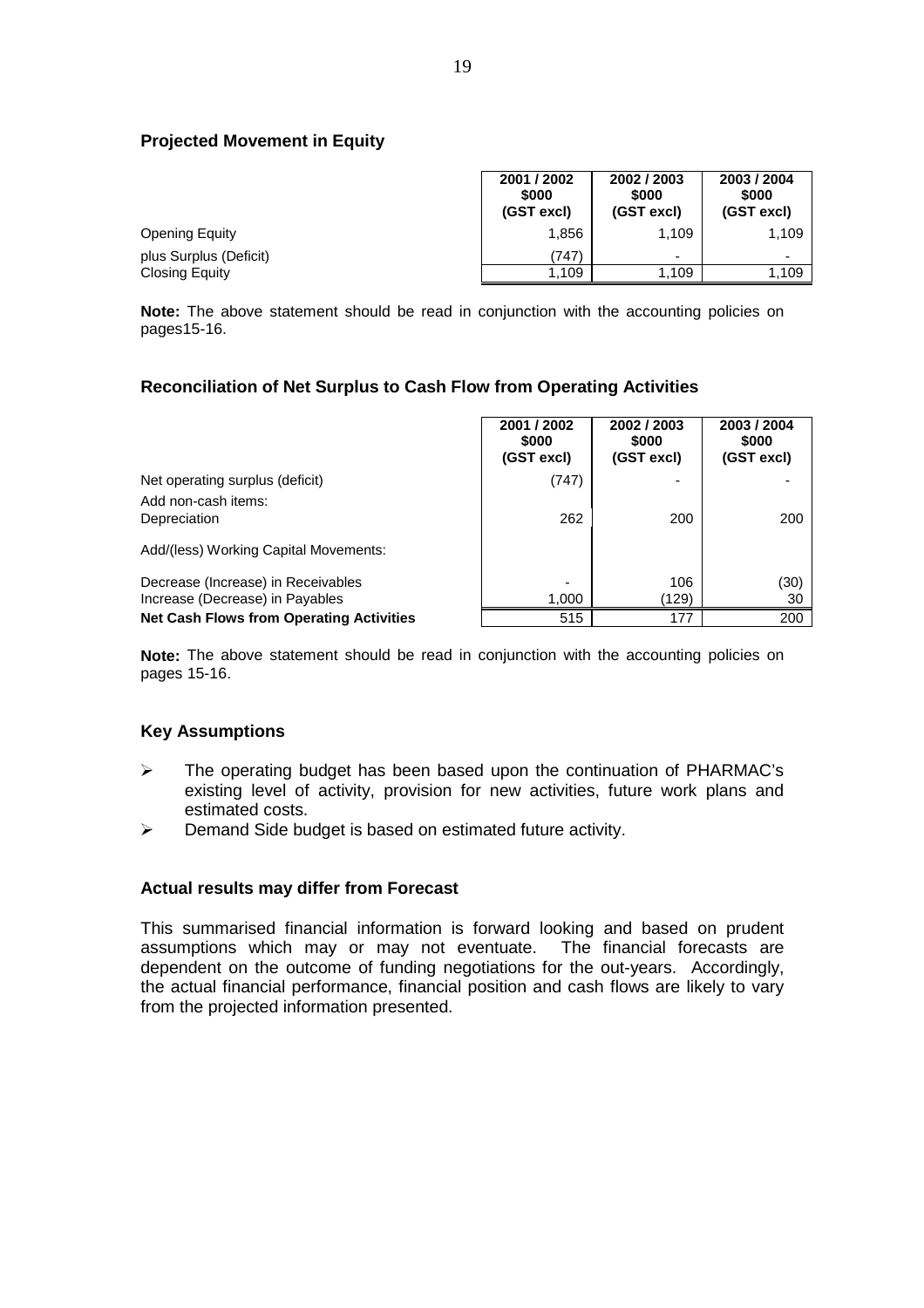# **Projected Movement in Equity**

|                        | 2001 / 2002<br>\$000<br>(GST excl) | 2002 / 2003<br>\$000<br>(GST excl) | 2003 / 2004<br>\$000<br>(GST excl) |
|------------------------|------------------------------------|------------------------------------|------------------------------------|
| <b>Opening Equity</b>  | 1.856                              | 1.109                              | 1,109                              |
| plus Surplus (Deficit) | (747)                              | $\overline{\phantom{0}}$           | ۰                                  |
| <b>Closing Equity</b>  | 1.109                              | 1.109                              | 1,109                              |

**Note:** The above statement should be read in conjunction with the accounting policies on pages15-16.

#### **Reconciliation of Net Surplus to Cash Flow from Operating Activities**

|                                                 | 2001 / 2002<br>\$000<br>(GST excl) | 2002 / 2003<br>\$000<br>(GST excl) | 2003 / 2004<br>\$000<br>(GST excl) |
|-------------------------------------------------|------------------------------------|------------------------------------|------------------------------------|
| Net operating surplus (deficit)                 | (747)                              |                                    |                                    |
| Add non-cash items:<br>Depreciation             | 262                                | 200                                | 200                                |
| Add/(less) Working Capital Movements:           |                                    |                                    |                                    |
| Decrease (Increase) in Receivables              | -                                  | 106                                | (30)                               |
| Increase (Decrease) in Payables                 | 1,000                              | (129)                              | 30                                 |
| <b>Net Cash Flows from Operating Activities</b> | 515                                | 177                                | 200                                |

**Note:** The above statement should be read in conjunction with the accounting policies on pages 15-16.

#### **Key Assumptions**

- $\triangleright$  The operating budget has been based upon the continuation of PHARMAC's existing level of activity, provision for new activities, future work plans and estimated costs.
- $\triangleright$  Demand Side budget is based on estimated future activity.

#### **Actual results may differ from Forecast**

This summarised financial information is forward looking and based on prudent assumptions which may or may not eventuate. The financial forecasts are dependent on the outcome of funding negotiations for the out-years. Accordingly, the actual financial performance, financial position and cash flows are likely to vary from the projected information presented.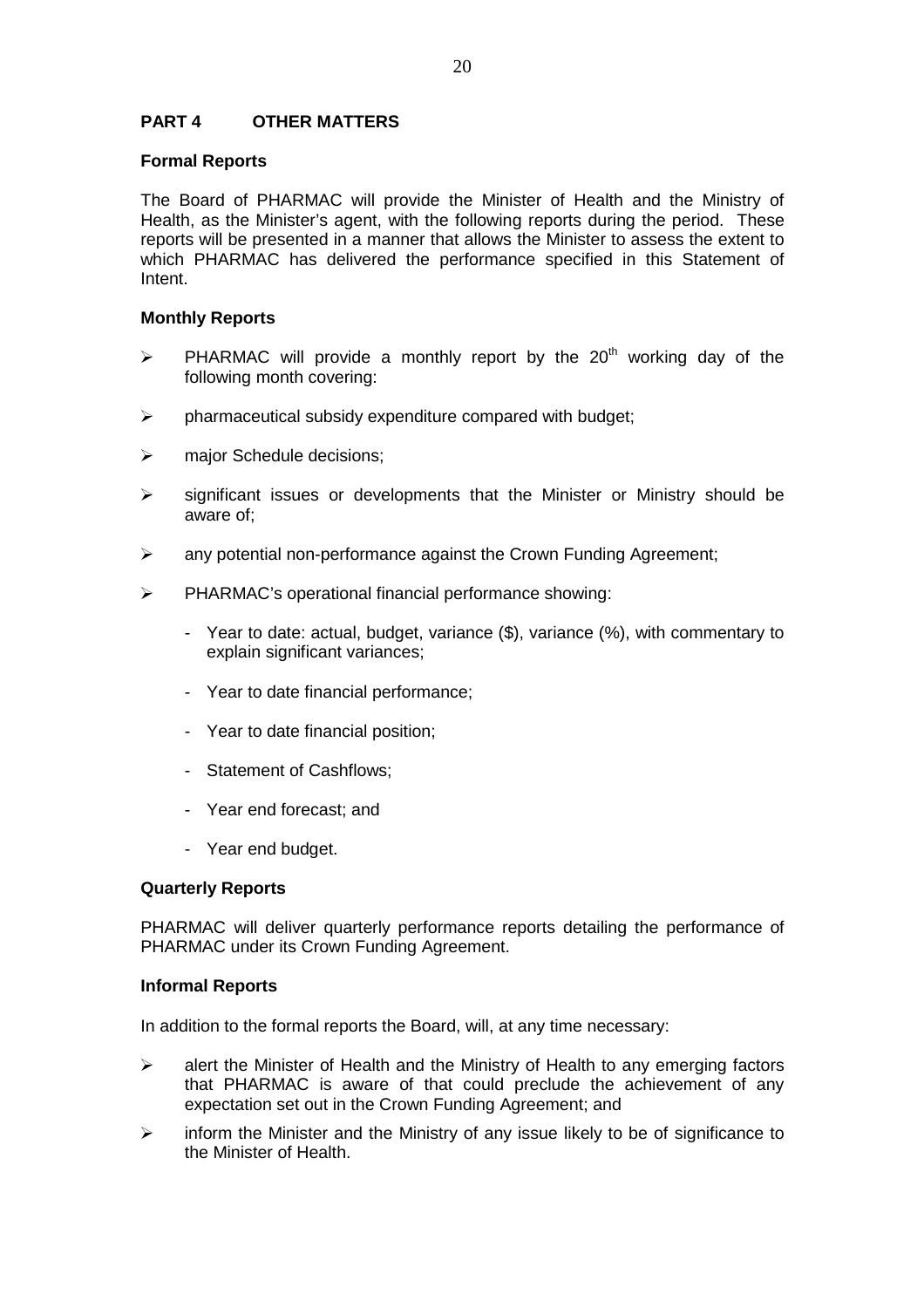# **PART 4 OTHER MATTERS**

# **Formal Reports**

The Board of PHARMAC will provide the Minister of Health and the Ministry of Health, as the Minister's agent, with the following reports during the period. These reports will be presented in a manner that allows the Minister to assess the extent to which PHARMAC has delivered the performance specified in this Statement of Intent.

# **Monthly Reports**

- $\triangleright$  PHARMAC will provide a monthly report by the 20<sup>th</sup> working day of the following month covering:
- $\triangleright$  pharmaceutical subsidy expenditure compared with budget;
- > major Schedule decisions:
- $\triangleright$  significant issues or developments that the Minister or Ministry should be aware of;
- $\triangleright$  any potential non-performance against the Crown Funding Agreement;
- PHARMAC's operational financial performance showing:
	- Year to date: actual, budget, variance (\$), variance (%), with commentary to explain significant variances;
	- Year to date financial performance;
	- Year to date financial position;
	- Statement of Cashflows;
	- Year end forecast; and
	- Year end budget.

#### **Quarterly Reports**

PHARMAC will deliver quarterly performance reports detailing the performance of PHARMAC under its Crown Funding Agreement.

#### **Informal Reports**

In addition to the formal reports the Board, will, at any time necessary:

- $\triangleright$  alert the Minister of Health and the Ministry of Health to any emerging factors that PHARMAC is aware of that could preclude the achievement of any expectation set out in the Crown Funding Agreement; and
- $\triangleright$  inform the Minister and the Ministry of any issue likely to be of significance to the Minister of Health.